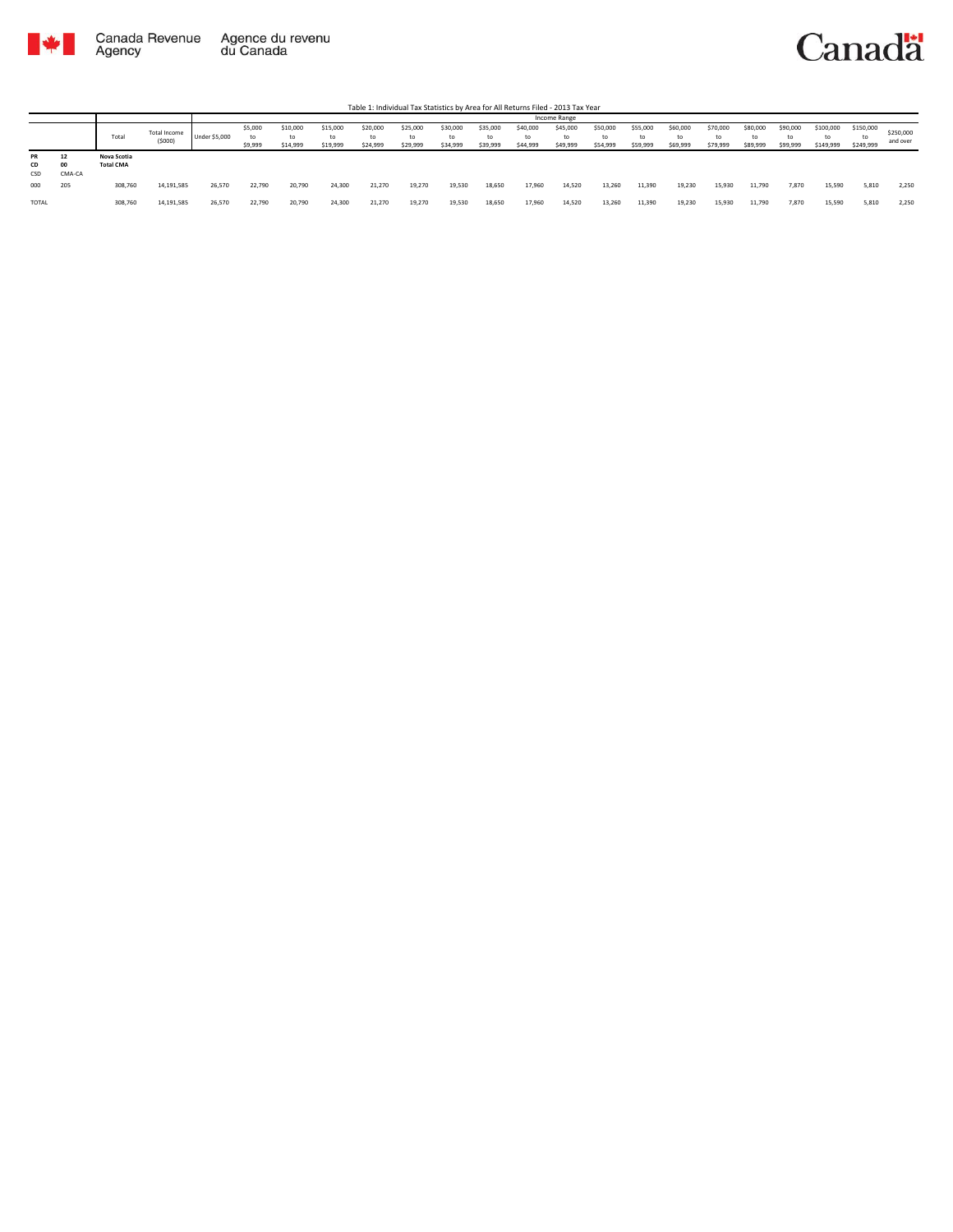

Table 1: Individual Tax Statistics by Area for All Returns Filed - 2013 Tax Year

|                 |                   |                                 |                        |                      |                    |                            |                            |                            |                            |                            |                            |                            | Income Range                |                            |                            |                            |                            |                            |                            |                              |                              |                       |
|-----------------|-------------------|---------------------------------|------------------------|----------------------|--------------------|----------------------------|----------------------------|----------------------------|----------------------------|----------------------------|----------------------------|----------------------------|-----------------------------|----------------------------|----------------------------|----------------------------|----------------------------|----------------------------|----------------------------|------------------------------|------------------------------|-----------------------|
|                 |                   | Total                           | Total Income<br>(5000) | <b>Under \$5,000</b> | \$5,000<br>\$9,999 | \$10,000<br>to<br>\$14,999 | \$15,000<br>to<br>\$19,999 | \$20,000<br>to<br>\$24,999 | \$25,000<br>to<br>\$29,999 | \$30,000<br>to<br>\$34,999 | \$35,000<br>to<br>\$39,999 | \$40,000<br>to<br>\$44,999 | \$45,000<br>to.<br>\$49,999 | \$50,000<br>to<br>\$54,999 | \$55,000<br>to<br>\$59,999 | \$60,000<br>to<br>\$69,999 | \$70,000<br>to<br>\$79,999 | \$80,000<br>to<br>\$89,999 | \$90,000<br>to<br>\$99,999 | \$100,000<br>to<br>\$149,999 | \$150,000<br>to<br>\$249,999 | \$250,000<br>and over |
| PR<br>CD<br>CSD | -<br>00<br>CMA-CA | Nova Scotia<br><b>Total CMA</b> |                        |                      |                    |                            |                            |                            |                            |                            |                            |                            |                             |                            |                            |                            |                            |                            |                            |                              |                              |                       |
| 000             | 205               | 308,760                         | 14,191,585             | 26,570               | 22.790             | 20,790                     | 24,300                     | 21.270                     | 19,270                     | 19,530                     | 18.650                     | 17,960                     | 14,520                      | 13,260                     | 11,390                     | 19.230                     | 15,930                     | 11.790                     | 7,870                      | 15.590                       | 5,810                        | 2.250                 |
| TOTAL           |                   | 308,760                         | 14,191,585             | 26,570               | 22,790             | 20,790                     | 24,300                     | 21,270                     | 19,270                     | 19,530                     | 18,650                     | 17,960                     | 14,520                      | 13,260                     | 11,390                     | 19,230                     | 15,930                     | 11,790                     | 7,870                      | 15,590                       | 5,810                        | 2,250                 |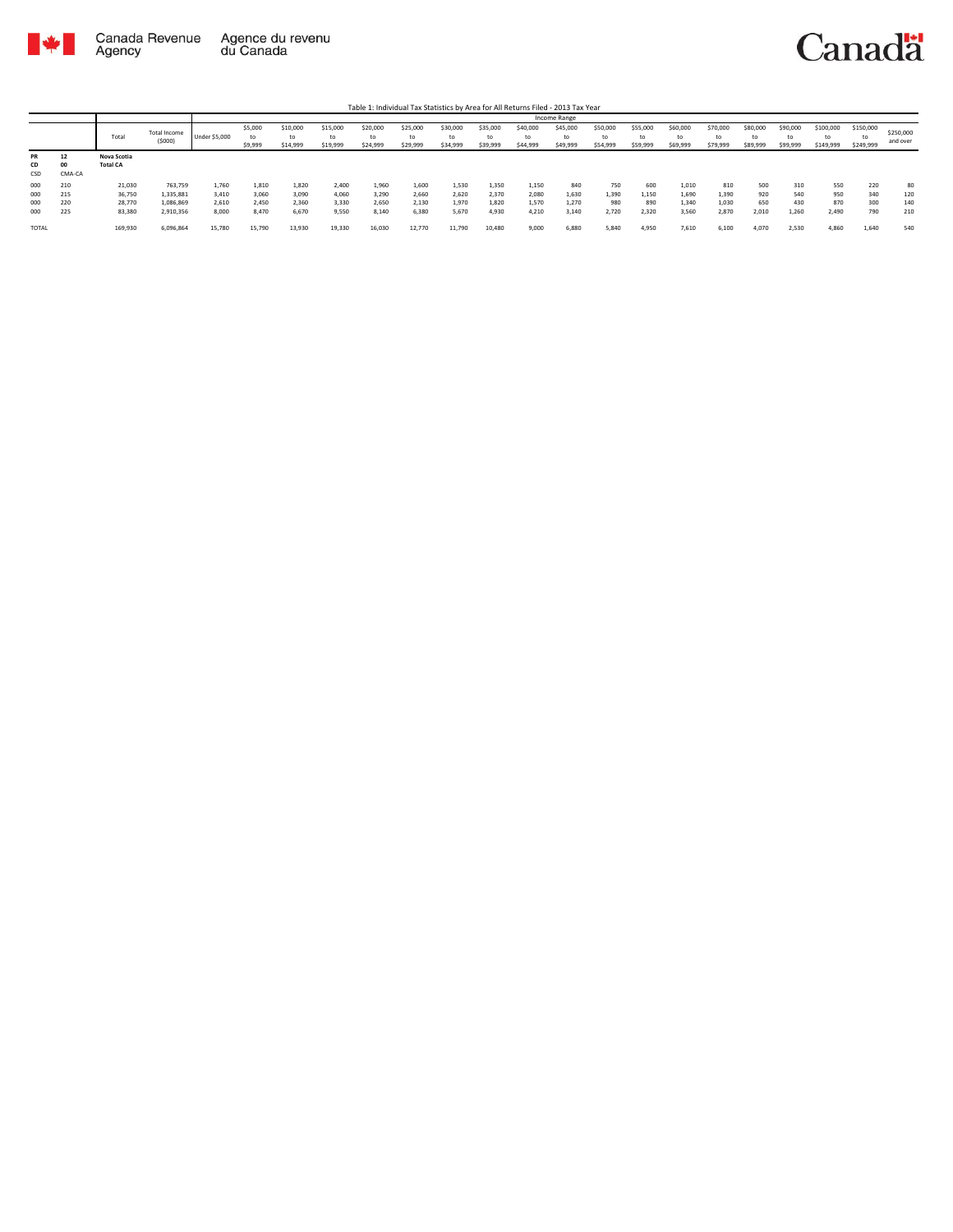

|                 |                    |                                |                        |               |                    |                            |                            |                            |                            |                            |                            |                            | <b>Income Range</b>        |                            |                            |                            |                            |                            |                            |                        |                              |                       |
|-----------------|--------------------|--------------------------------|------------------------|---------------|--------------------|----------------------------|----------------------------|----------------------------|----------------------------|----------------------------|----------------------------|----------------------------|----------------------------|----------------------------|----------------------------|----------------------------|----------------------------|----------------------------|----------------------------|------------------------|------------------------------|-----------------------|
|                 |                    | Total                          | Total Income<br>(5000) | Under \$5,000 | \$5,000<br>\$9,999 | \$10,000<br>to<br>\$14,999 | \$15,000<br>to<br>\$19,999 | \$20,000<br>to<br>\$24,999 | \$25,000<br>to<br>\$29,999 | \$30,000<br>to<br>\$34,999 | \$35,000<br>to<br>\$39,999 | \$40,000<br>to<br>\$44,999 | \$45,000<br>to<br>\$49,999 | \$50,000<br>to<br>\$54,999 | \$55,000<br>to<br>\$59,999 | \$60,000<br>to<br>\$69,999 | \$70,000<br>to<br>\$79,999 | \$80,000<br>to<br>\$89,999 | \$90,000<br>to<br>\$99,999 | \$100,000<br>\$149,999 | \$150,000<br>to<br>\$249,999 | \$250,000<br>and over |
| PR<br>CD<br>CSD | 12<br>00<br>CMA-CA | Nova Scotia<br><b>Total CA</b> |                        |               |                    |                            |                            |                            |                            |                            |                            |                            |                            |                            |                            |                            |                            |                            |                            |                        |                              |                       |
| 000             | 210                | 21,030                         | 763,759                | 1,760         | 1,810              | 1,820                      | 2,400                      | 1,960                      | 1,600                      | 1,530                      | 1,350                      | 1,150                      | 840                        | 750                        | 600                        | 1,010                      | 810                        | 500                        | 310                        | 550                    | 220                          | 80                    |
| 000             | 215                | 36,750                         | 1,335,881              | 3.410         | 3.060              | 3.090                      | 4,060                      | 3.290                      | 2.660                      | 2,620                      | 2,370                      | 2,080                      | 1,630                      | 1.390                      | 1,150                      | 1.690                      | 1,390                      | 920                        | 540                        | 950                    | 340                          | 120                   |
| 000             | 220                | 28,770                         | 1,086,869              | 2,610         | 2.450              | 2,360                      | 3,330                      | 2.650                      | 2,130                      | 1,970                      | 1.820                      | 1,570                      | 1,270                      | 980                        | 890                        | 1.340                      | 1,030                      | 650                        | 430                        | 870                    | 300                          | 140                   |
| 000             | 225                | 83,380                         | 2,910,356              | 8,000         | 8.470              | 6,670                      | 9,550                      | 8.140                      | 6.380                      | 5,670                      | 4.930                      | 4.210                      | 3,140                      | 2.720                      | 2,320                      | 3,560                      | 2,870                      | 2,010                      | 1,260                      | 2.490                  | 790                          | 210                   |
| <b>TOTAL</b>    |                    | 169,930                        | 6,096,864              | 15,780        | 15,790             | 13,930                     | 19,330                     | 16,030                     | 12,770                     | 11,790                     | 10,480                     | 9,000                      | 6,880                      | 5.840                      | 4,950                      | 7.610                      | 6.100                      | 4.070                      | 2,530                      | 4.860                  | 1.640                        | 540                   |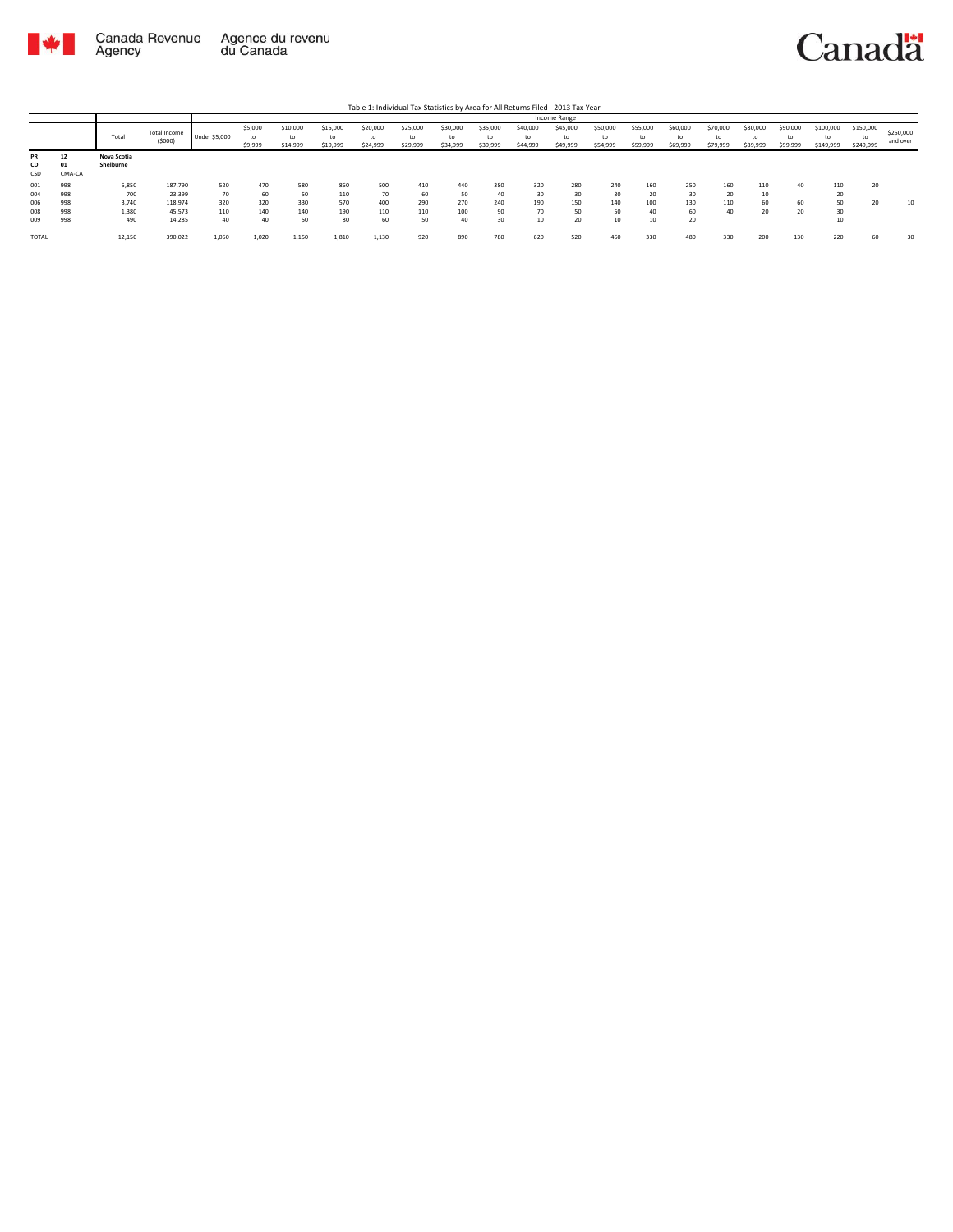

|           |        |             |              |                      |               |                |                |                |                |          |                |                | Income Range |                |                |                |                |          |                |                       |                 |           |
|-----------|--------|-------------|--------------|----------------------|---------------|----------------|----------------|----------------|----------------|----------|----------------|----------------|--------------|----------------|----------------|----------------|----------------|----------|----------------|-----------------------|-----------------|-----------|
|           |        | Total       | Total Income | <b>Under \$5,000</b> | \$5,000<br>to | \$10,000<br>to | \$15,000<br>to | \$20,000<br>to | \$25,000<br>to | \$30,000 | \$35,000<br>to | \$40,000<br>tc | \$45,000     | \$50,000<br>to | \$55,000<br>to | \$60,000<br>to | \$70,000<br>to | \$80,000 | \$90,000<br>to | \$100,000<br>to       | \$150,000<br>to | \$250,000 |
|           |        |             | (5000)       |                      | \$9,999       | \$14,999       | \$19,999       | \$24,999       | \$29,999       | \$34,999 | \$39,999       | \$44,999       | \$49,999     | \$54,999       | \$59,999       | \$69,999       | \$79,999       | \$89,999 | \$99,999       | \$149,999             | \$249,999       | and over  |
| <b>PR</b> | 12     | Nova Scotia |              |                      |               |                |                |                |                |          |                |                |              |                |                |                |                |          |                |                       |                 |           |
| CD        | 01     | Shelburne   |              |                      |               |                |                |                |                |          |                |                |              |                |                |                |                |          |                |                       |                 |           |
| CSD       | CMA-CA |             |              |                      |               |                |                |                |                |          |                |                |              |                |                |                |                |          |                |                       |                 |           |
| 001       | 998    | 5,850       | 187,790      | 520                  | 470           | 580            | 860            | 500            | 410            | 440      | 380            | 320            | 280          | 240            | 160            | 250            | 160            | 110      | 40             | 110                   | 20              |           |
| 004       | 998    | 700         | 23,399       | 70                   | 60            | 50             | 110            | 70             | 60             | 50       | 40             | 30             | 30           | 30             | 20             | 30             | 20             | 10       |                | $\sim$<br>ZU.         |                 |           |
| 006       | 998    | 3,740       | 118,974      | 320                  | 320           | 330            | 570            | 400            | 290            | 270      | 240            | 190            | 150          | 140            | 100            | 130            | 110            | 60       | 60             | 50 <sub>0</sub><br>3U | 20              | 10        |
| 008       | 998    | 1,380       | 45,573       | 110                  | 140           | 140            | 190            | 110            | 110            | 100      | 90             | 70             | 50           | 50             | 40             | 60             | 40             | 20       | 20             | 30                    |                 |           |
| 009       | 998    | 490         | 14.285       | 40                   | 40            | 50             | 80             | 60             | 50             | 40       | 30             | 10             | 20           | 10             | 10             | 20             |                |          |                | 10                    |                 |           |
|           |        |             |              |                      |               |                |                |                |                |          |                |                |              |                |                |                |                |          |                |                       |                 |           |
| TOTAL     |        | 12,150      | 390,022      | 1,060                | 1,020         | 1,150          | 1,810          | 1,130          | 920            | 890      | 780            | 620            | 520          | 460            | 330            | 480            | 330            | 200      | 130            | 220                   | 60              | 30        |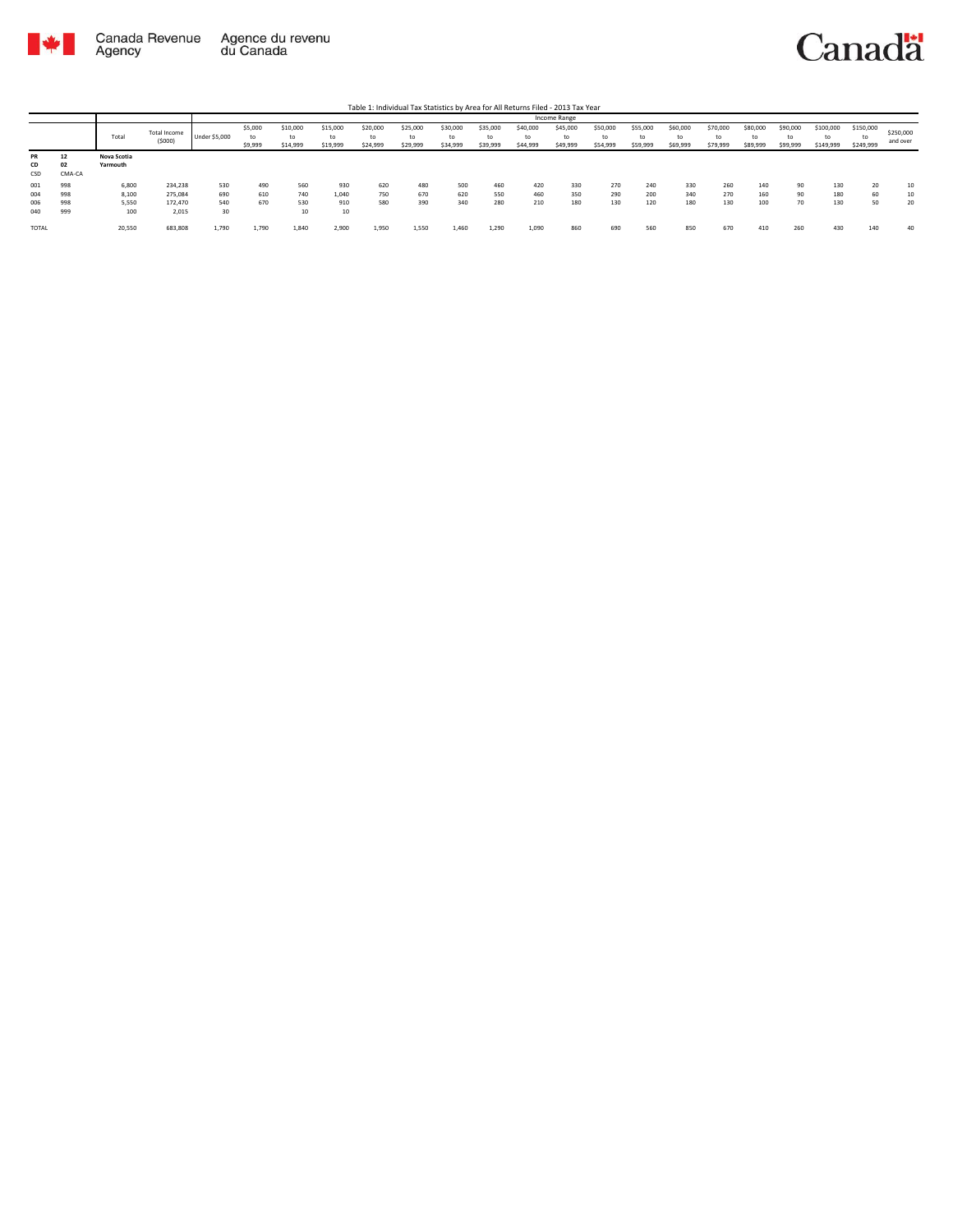

|                        |                    |                         |                        |               |                    |                            |                            |                            |                            |                            |                            |                            | Income Range               |                            |                            |                            |                            |                            |                            |                        |                              |                       |
|------------------------|--------------------|-------------------------|------------------------|---------------|--------------------|----------------------------|----------------------------|----------------------------|----------------------------|----------------------------|----------------------------|----------------------------|----------------------------|----------------------------|----------------------------|----------------------------|----------------------------|----------------------------|----------------------------|------------------------|------------------------------|-----------------------|
|                        |                    | Total                   | Total Income<br>(5000) | Under \$5,000 | \$5,000<br>\$9,999 | \$10,000<br>to<br>\$14,999 | \$15,000<br>to<br>\$19,999 | \$20,000<br>to<br>\$24,999 | \$25,000<br>to<br>\$29,999 | \$30,000<br>to<br>\$34,999 | \$35,000<br>to<br>\$39,999 | \$40,000<br>to<br>\$44,999 | \$45,000<br>to<br>\$49,999 | \$50,000<br>to<br>\$54,999 | \$55,000<br>to<br>\$59,999 | \$60,000<br>to<br>\$69,999 | \$70,000<br>to<br>\$79,999 | \$80,000<br>to<br>\$89,999 | \$90,000<br>to<br>\$99,999 | \$100,000<br>\$149,999 | \$150,000<br>to<br>\$249,999 | \$250,000<br>and over |
| <b>PR</b><br>CD<br>CSD | 12<br>02<br>CMA-CA | Nova Scotia<br>Yarmouth |                        |               |                    |                            |                            |                            |                            |                            |                            |                            |                            |                            |                            |                            |                            |                            |                            |                        |                              |                       |
| 001                    | 998                | 6,800                   | 234,238                | 530           | 490                | 560                        | 930                        | 620                        | 480                        | 500                        | 460                        | 420                        | 330                        | 270                        | 240                        | 330                        | 260                        | 140                        | 90                         | 130                    | 20                           | 10                    |
| 004                    | 998                | 8,100                   | 275,084                | 690           | 610                | 740                        | 1,040                      | 750                        | 670                        | 620                        | 550                        | 460                        | 350                        | 290                        | 200                        | 340                        | 270                        | 160                        | 90                         | 180                    | 60                           | 10                    |
| 006                    | 998                | 5,550                   | 172,470                | 540           | 670                | 530                        | 910                        | 580                        | 390                        | 340                        | 280                        | 210                        | 180                        | 130                        | 120                        | 180                        | 130                        | 100                        | 70                         | 130                    | 50                           | 20                    |
| 040                    | 999                | 100                     | 2,015                  | 30            |                    | 10                         | 10                         |                            |                            |                            |                            |                            |                            |                            |                            |                            |                            |                            |                            |                        |                              |                       |
| TOTAL                  |                    | 20,550                  | 683,808                | 1,790         | 1,790              | 1,840                      | 2,900                      | 1,950                      | 1,550                      | 1,460                      | 1,290                      | 1,090                      | 860                        | 690                        | 560                        | 850                        | 670                        | 410                        | 260                        | 430                    | 140                          | 40                    |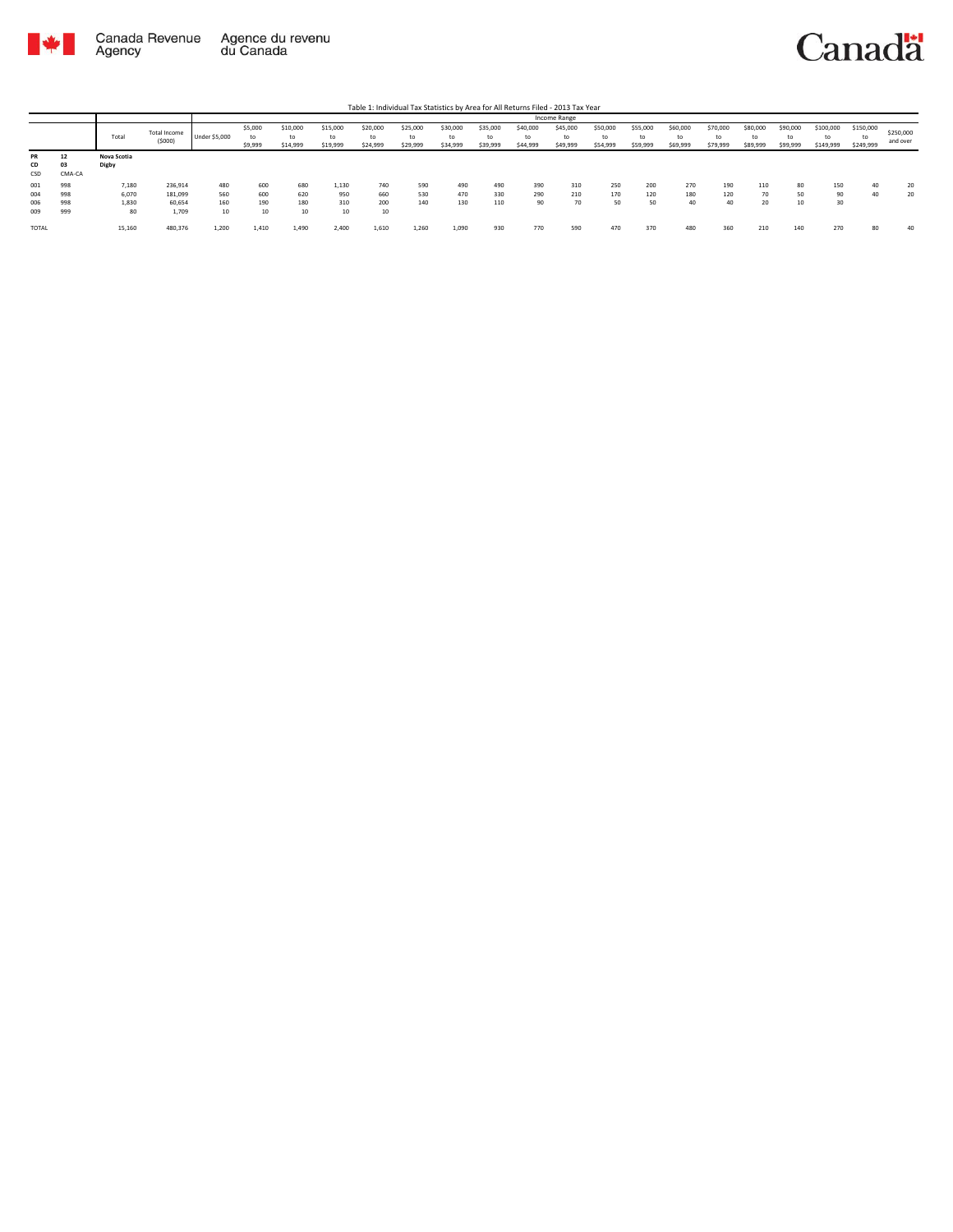

|                          |                          |                               |                                       |                         |                          |                            |                            |                            |                            |                            |                            |                              | Income Range               |                            |                            |                            |                            |                            |                            |                        |                              |                       |
|--------------------------|--------------------------|-------------------------------|---------------------------------------|-------------------------|--------------------------|----------------------------|----------------------------|----------------------------|----------------------------|----------------------------|----------------------------|------------------------------|----------------------------|----------------------------|----------------------------|----------------------------|----------------------------|----------------------------|----------------------------|------------------------|------------------------------|-----------------------|
|                          |                          | Total                         | Total Income<br>(5000)                | Under \$5,000           | \$5,000<br>to<br>\$9,999 | \$10,000<br>to<br>\$14,999 | \$15,000<br>to<br>\$19,999 | \$20,000<br>to<br>\$24,999 | \$25,000<br>to<br>\$29,999 | \$30,000<br>to<br>\$34,999 | \$35,000<br>to<br>\$39,999 | \$40,000<br>to<br>\$44,999   | \$45,000<br>to<br>\$49,999 | \$50,000<br>to<br>\$54,999 | \$55,000<br>to<br>\$59,999 | \$60,000<br>to<br>\$69,999 | \$70,000<br>to<br>\$79,999 | \$80,000<br>to<br>\$89,999 | \$90,000<br>to<br>\$99,999 | \$100,000<br>\$149,999 | \$150,000<br>to<br>\$249,999 | \$250,000<br>and over |
| PR<br>CD<br>CSD          | 12<br>03<br>CMA-CA       | Nova Scotia<br>Digby          |                                       |                         |                          |                            |                            |                            |                            |                            |                            |                              |                            |                            |                            |                            |                            |                            |                            |                        |                              |                       |
| 001<br>004<br>006<br>009 | 998<br>998<br>998<br>999 | 7,180<br>6,070<br>1,830<br>80 | 236,914<br>181,099<br>60,654<br>1.709 | 480<br>560<br>160<br>10 | 600<br>600<br>190<br>10  | 680<br>620<br>180<br>10    | 1,130<br>950<br>310<br>10  | 740<br>660<br>200<br>10    | 590<br>530<br>140          | 490<br>470<br>130          | 490<br>330<br>110          | 390<br>290<br>0 <sup>n</sup> | 310<br>210<br>70           | 250<br>170<br>50           | 200<br>120<br>50           | 270<br>180<br>40           | 190<br>120<br>40           | 110<br>70<br>20            | 80<br>50<br>10             | 150<br>90<br>30        | 40<br>40                     | 20<br>20              |
| TOTAL                    |                          | 15,160                        | 480,376                               | 1,200                   | 1.410                    | 1,490                      | 2,400                      | 1,610                      | 1,260                      | 1,090                      | 930                        | 770                          | 590                        | 470                        | 370                        | 480                        | 360                        | 210                        | 140                        | 270                    | 80                           | 40                    |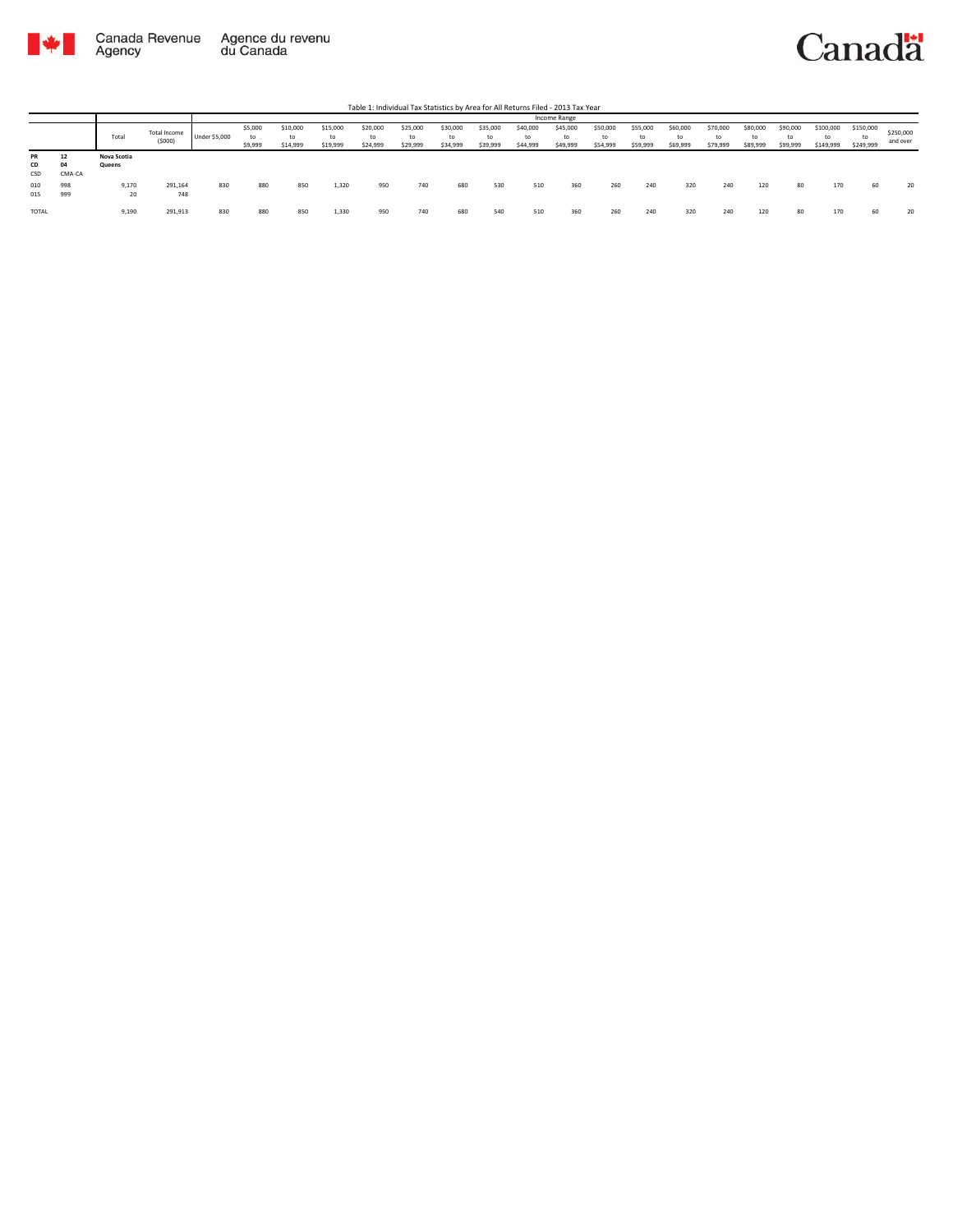

|                        |                    |                       |                        |                      |                          |                            |                            | Table 1: Individual Tax Statistics by Area for All Returns Filed - 2013 Tax Year |                            |                            |                            |                            |                            |                            |                            |                            |                            |                            |                            |                              |                        |                       |
|------------------------|--------------------|-----------------------|------------------------|----------------------|--------------------------|----------------------------|----------------------------|----------------------------------------------------------------------------------|----------------------------|----------------------------|----------------------------|----------------------------|----------------------------|----------------------------|----------------------------|----------------------------|----------------------------|----------------------------|----------------------------|------------------------------|------------------------|-----------------------|
|                        |                    |                       |                        |                      |                          |                            |                            |                                                                                  |                            |                            |                            |                            | Income Range               |                            |                            |                            |                            |                            |                            |                              |                        |                       |
|                        |                    | Total                 | Total Income<br>(5000) | <b>Under \$5,000</b> | \$5,000<br>to<br>\$9,999 | \$10,000<br>to<br>\$14,999 | \$15,000<br>to<br>\$19,999 | \$20,000<br>to<br>\$24,999                                                       | \$25,000<br>to<br>\$29,999 | \$30,000<br>to<br>\$34,999 | \$35,000<br>to<br>\$39,999 | \$40,000<br>to<br>\$44,999 | \$45,000<br>to<br>\$49,999 | \$50,000<br>to<br>\$54,999 | \$55,000<br>to<br>\$59,999 | \$60,000<br>to<br>\$69,999 | \$70,000<br>to<br>\$79,999 | \$80,000<br>to<br>\$89,999 | \$90,000<br>to<br>\$99,999 | \$100,000<br>to<br>\$149,999 | \$150,000<br>\$249,999 | \$250,000<br>and over |
| <b>PR</b><br>CD<br>CSD | 12<br>04<br>CMA-CA | Nova Scotia<br>Queens |                        |                      |                          |                            |                            |                                                                                  |                            |                            |                            |                            |                            |                            |                            |                            |                            |                            |                            |                              |                        |                       |
| 010<br>015             | 998<br>999         | 9.170<br>20           | 291,164<br>748         | 830                  | 880                      | 850                        | 1,320                      | 950                                                                              | 740                        | 680                        | 530                        | 510                        | 360                        | 260                        | 240                        | 320                        | 240                        | 120                        | 80                         | 170                          | 60                     | 20                    |
| <b>TOTAL</b>           |                    | 9,190                 | 291,913                | 830                  | 880                      | 850                        | 1,330                      | 950                                                                              | 740                        | 680                        | 540                        | 510                        | 360                        | 260                        | 240                        | 320                        | 240                        | 120                        | 80                         | 170                          | 60                     | 20                    |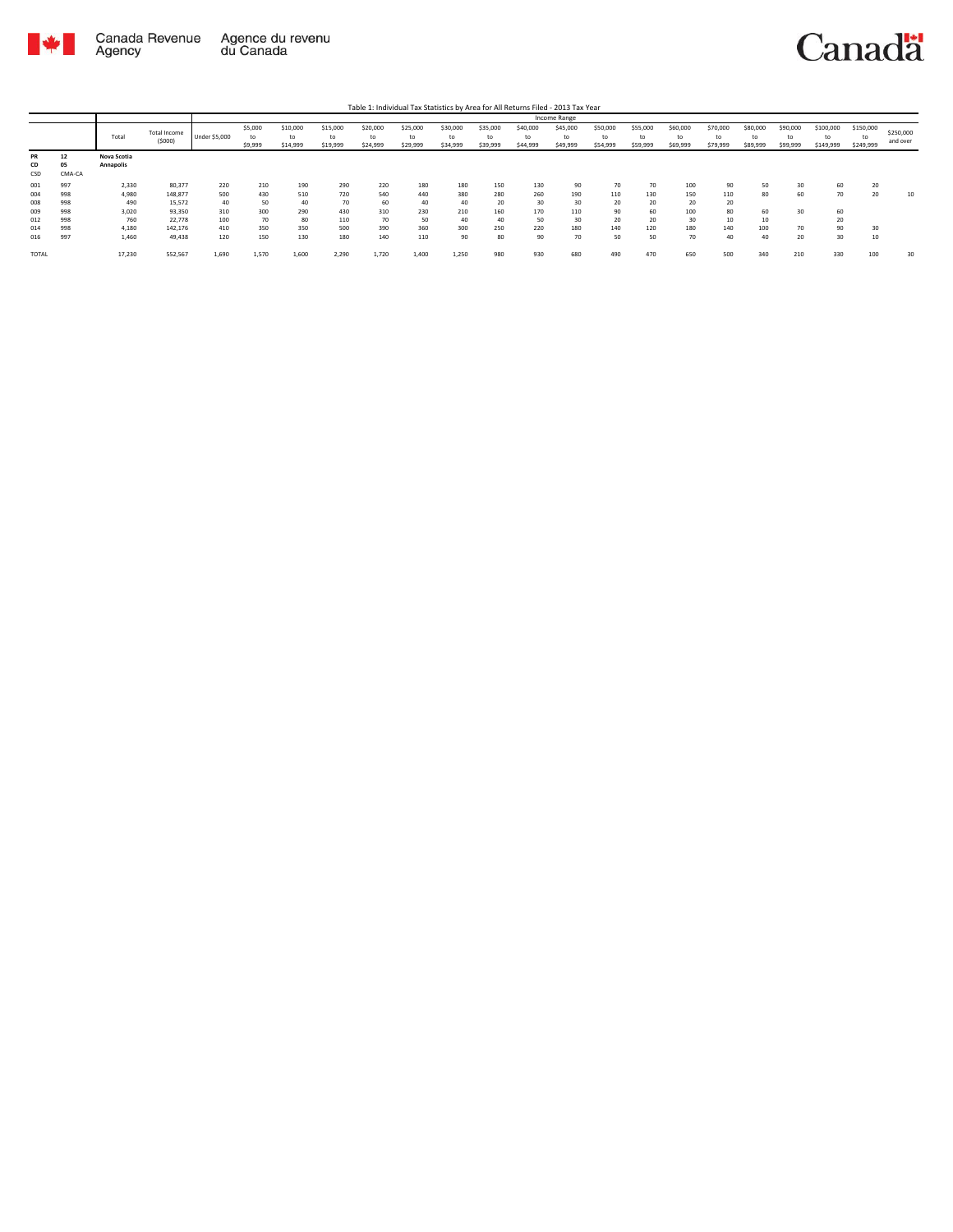

Table 1: Individual Tax Statistics by Area for All Returns Filed - 2013 Tax Year

|           |        |             |              |               |         |          |          |          |          |          |          |          | Income Range |          |          |          |          |          |          |           |           |           |
|-----------|--------|-------------|--------------|---------------|---------|----------|----------|----------|----------|----------|----------|----------|--------------|----------|----------|----------|----------|----------|----------|-----------|-----------|-----------|
|           |        |             | Total Income |               | \$5,000 | \$10,000 | \$15,000 | \$20,000 | \$25,000 | \$30,000 | \$35,000 | \$40,000 | \$45,000     | \$50,000 | \$55,000 | \$60,000 | \$70,000 | \$80,000 | \$90,000 | \$100,000 | \$150,000 | \$250,000 |
|           |        | Total       | (5000)       | Under \$5,000 | to      | to       | to       | t٥       | to       | tc       | to       | to       | to           | to       | to       | to       | to       | to       | to       |           | to        | and over  |
|           |        |             |              |               | \$9,999 | \$14,999 | \$19,999 | \$24,999 | \$29,999 | \$34,999 | \$39,999 | \$44,999 | \$49,999     | \$54,999 | \$59,999 | \$69,999 | \$79,999 | \$89,999 | \$99,999 | \$149,999 | \$249,999 |           |
| <b>PR</b> | 12     | Nova Scotia |              |               |         |          |          |          |          |          |          |          |              |          |          |          |          |          |          |           |           |           |
| CD        | 05     | Annapolis   |              |               |         |          |          |          |          |          |          |          |              |          |          |          |          |          |          |           |           |           |
| CSD       | CMA-CA |             |              |               |         |          |          |          |          |          |          |          |              |          |          |          |          |          |          |           |           |           |
| 001       | 997    | 2,330       | 80,377       | 220           | 210     | 190      | 290      | 220      | 180      | 180      | 150      | 130      | 90           | 70       | 70       | 100      | 90       | 50       | 30       | 60        | 20        |           |
| 004       | 998    | 4,980       | 148,877      | 500           | 430     | 510      | 720      | 540      | 440      | 380      | 280      | 260      | 190          | 110      | 130      | 150      | 110      | 80       | 60       | 70        | 20        | 10        |
| 008       | 998    | 490         | 15,572       | 40            | 50      | 40       | 70       | 60       | 40       | 40       | 20       | 30       | 30           | 20       | 20       | 20       | 20       |          |          |           |           |           |
| 009       | 998    | 3,020       | 93,350       | 310           | 300     | 290      | 430      | 310      | 230      | 210      | 160      | 170      | 110          | 90       | 60       | 100      | 80       | 60       | 30       | 60        |           |           |
| 012       | 998    | 760         | 22,778       | 100           | 70      | 80       | 110      | 70       | 50       | 40       | 40       | 50       | 30           | 20       | 20       | 30       | 10       | 10       |          | 20        |           |           |
| 014       | 998    | 4,180       | 142,176      | 410           | 350     | 350      | 500      | 390      | 360      | 300      | 250      | 220      | 180          | 140      | 120      | 180      | 140      | 100      | 70       | 90        | 30        |           |
| 016       | 997    | 1,460       | 49,438       | 120           | 150     | 130      | 180      | 140      | 110      | 90       | 80       | 90       | 70           | 50       | 50       | 70       | 40       | 40       | 20       | 30        | 10        |           |
| TOTAL     |        | 17,230      | 552,567      | 1,690         | 1,570   | 1,600    | 2,290    | 1,720    | 1,400    | 1,250    | 980      | 930      | 680          | 490      | 470      | 650      | 500      | 340      | 210      | 330       | 100       | 30        |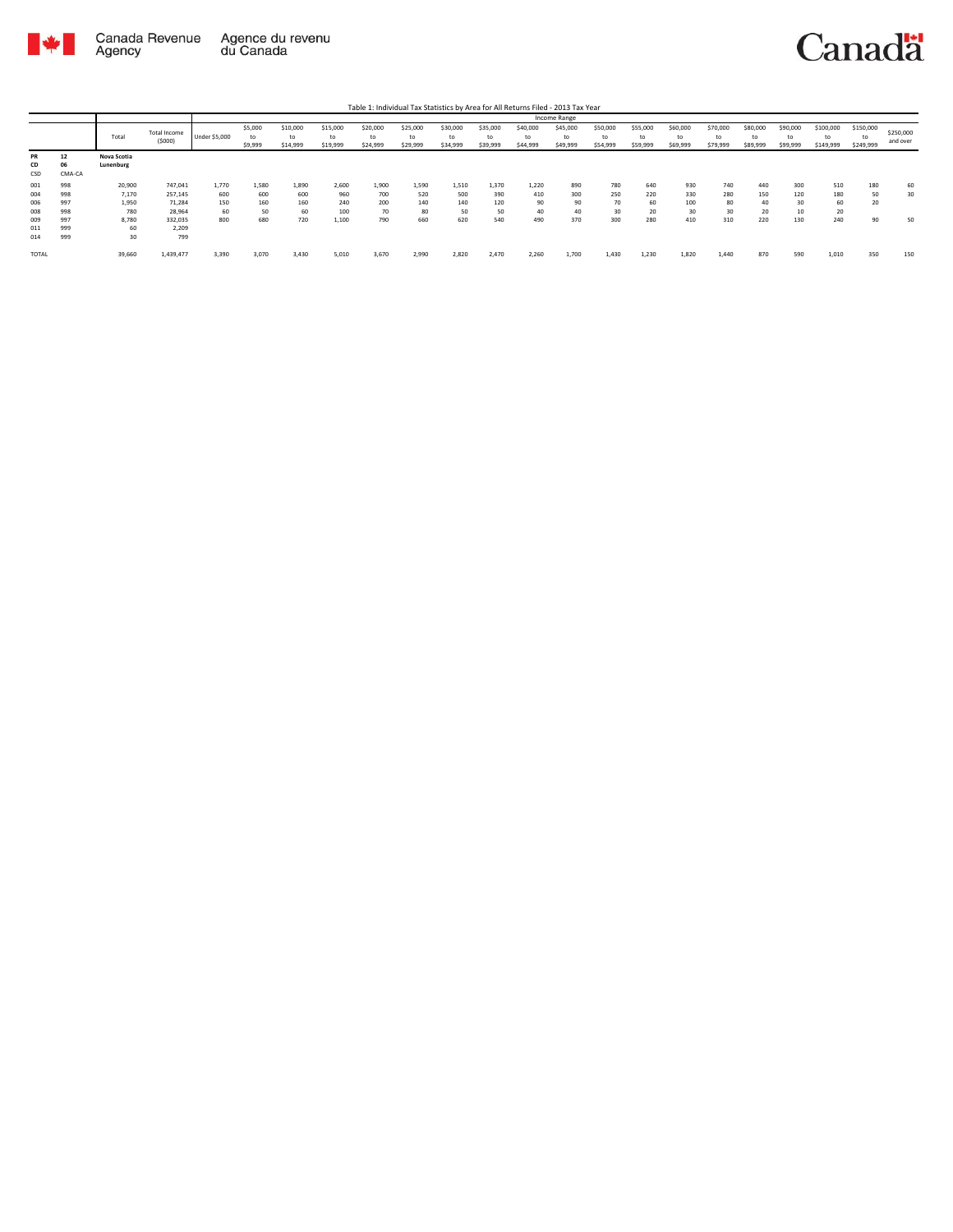

|       |           |             |              |               |         |          |          |          |          |          |          |          | Income Range |          |          |          |          |          |          |           |           |           |
|-------|-----------|-------------|--------------|---------------|---------|----------|----------|----------|----------|----------|----------|----------|--------------|----------|----------|----------|----------|----------|----------|-----------|-----------|-----------|
|       |           |             | Total Income |               | \$5,000 | \$10,000 | \$15,000 | \$20,000 | \$25,000 | \$30,000 | \$35,000 | \$40,000 | \$45,000     | \$50,000 | \$55,000 | \$60,000 | \$70,000 | \$80,000 | \$90,000 | \$100,000 | \$150,000 | \$250,000 |
|       |           | Total       | (5000)       | Under \$5,000 | to      | to       | to       | to       | to       | to       | to       | to       | to           | to       | to       | to       | to       | to       | to       |           | to        | and over  |
|       |           |             |              |               | \$9,999 | \$14,999 | \$19,999 | \$24,999 | \$29,999 | \$34,999 | \$39,999 | \$44,999 | \$49,999     | \$54,999 | \$59,999 | \$69,999 | \$79,999 | \$89,999 | \$99,999 | \$149,999 | \$249,999 |           |
| PR    | 12        | Nova Scotia |              |               |         |          |          |          |          |          |          |          |              |          |          |          |          |          |          |           |           |           |
| CD    | <b>Ut</b> | Lunenburg   |              |               |         |          |          |          |          |          |          |          |              |          |          |          |          |          |          |           |           |           |
| CSD   | CMA-CA    |             |              |               |         |          |          |          |          |          |          |          |              |          |          |          |          |          |          |           |           |           |
| 001   | 998       | 20,900      | 747,041      | 1,770         | 1,580   | 1,890    | 2,600    | 1,900    | 1.590    | 1,510    | 1,370    | 1,220    | 890          | 780      | 640      | 930      | 740      | 440      | 300      | 510       | 180       | 60        |
| 004   | 998       | 7,170       | 257,145      | 600           | 600     | 600      | 960      | 700      | 520      | 500      | 390      | 410      | 300          | 250      | 220      | 330      | 280      | 150      | 120      | 180       | 50        | 30        |
| 006   | 997       | 1,950       | 71,284       | 150           | 160     | 160      | 240      | 200      | 140      | 140      | 120      | 90       | 90           | 70       | 60       | 100      | 80       | 40       | 30       | 60        | 20        |           |
| 008   | 998       | 780         | 28,964       | 60            | 50      | 60       | 100      | 70       | 80       | 50       | 50       | 40       | 40           | 30       | 20       | 30       | 30       | 20       | 10       | 20        |           |           |
| 009   | 997       | 8,780       | 332,035      | 800           | 680     | 720      | 1,100    | 790      | 660      | 620      | 540      | 490      | 370          | 300      | 280      | 410      | 310      | 220      | 130      | 240       | 90        | 50        |
| 011   | 999       | 60          | 2,209        |               |         |          |          |          |          |          |          |          |              |          |          |          |          |          |          |           |           |           |
| 014   | 999       | 30          | 799          |               |         |          |          |          |          |          |          |          |              |          |          |          |          |          |          |           |           |           |
| TOTAL |           | 39,660      | 1,439,477    | 3,390         | 3,070   | 3,430    | 5,010    | 3,670    | 2,990    | 2,820    | 2,470    | 2,260    | 1,700        | 1,430    | 1,230    | 1,820    | 1,440    | 870      | 590      | 1,010     | 350       | 150       |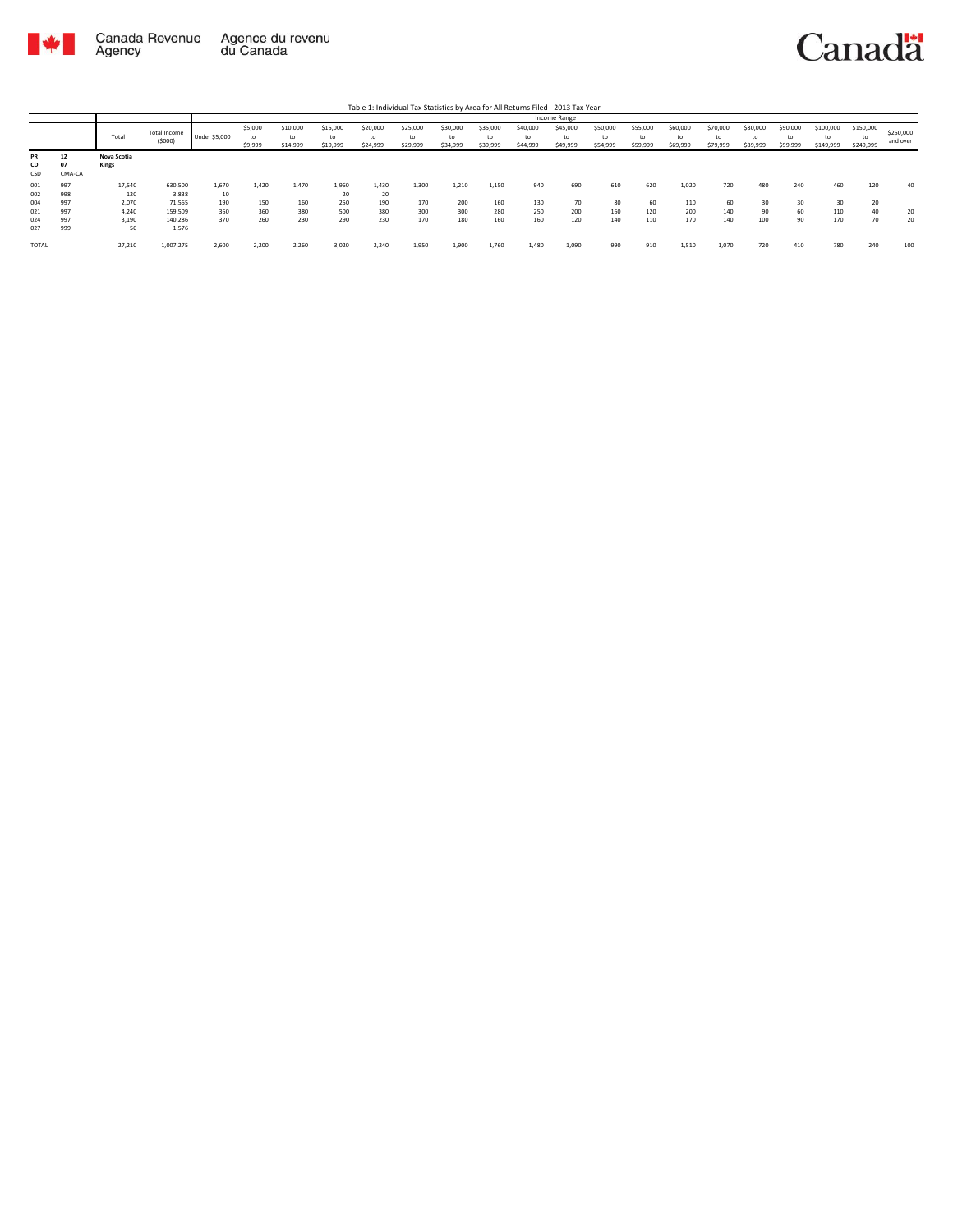

|              |        |             |              |               |         |          |          |          |          |          |          |          | Income Range |          |          |          |          |          |          |           |           |           |
|--------------|--------|-------------|--------------|---------------|---------|----------|----------|----------|----------|----------|----------|----------|--------------|----------|----------|----------|----------|----------|----------|-----------|-----------|-----------|
|              |        |             | Total Income |               | \$5,000 | \$10,000 | \$15,000 | \$20,000 | \$25,000 | \$30,000 | \$35,000 | \$40,000 | \$45,000     | \$50,000 | \$55,000 | \$60,000 | \$70,000 | \$80,000 | \$90,000 | \$100,000 | \$150,000 | \$250,000 |
|              |        | Total       | (5000)       | Under \$5,000 | to      | to       | to       | to       | to       | to       | to       | to       | to           | to       | to       | to       | to       | to       | to       | to        | tc        | and over  |
|              |        |             |              |               | \$9,999 | \$14,999 | \$19,999 | \$24,999 | \$29,999 | \$34,999 | \$39,999 | \$44,999 | \$49,999     | \$54,999 | \$59,999 | \$69,999 | \$79,999 | \$89,999 | \$99,999 | \$149,999 | \$249,999 |           |
| PR           | 12     | Nova Scotia |              |               |         |          |          |          |          |          |          |          |              |          |          |          |          |          |          |           |           |           |
| CD           |        | Kings       |              |               |         |          |          |          |          |          |          |          |              |          |          |          |          |          |          |           |           |           |
| CSD          | CMA-CA |             |              |               |         |          |          |          |          |          |          |          |              |          |          |          |          |          |          |           |           |           |
| 001          | 997    | 17,540      | 630,500      | 1,670         | 1.420   | 1,470    | 1,960    | 1.430    | 1,300    | 1,210    | 1,150    | 940      | 690          | 610      | 620      | 1,020    | 720      | 480      | 240      | 460       | 120       | 40        |
|              |        |             |              |               |         |          |          |          |          |          |          |          |              |          |          |          |          |          |          |           |           |           |
| 002          | 998    | 120         | 3,838        | 10            |         |          | 20       | 20       |          |          |          |          |              |          |          |          |          |          |          |           |           |           |
| 004          | 997    | 2,070       | 71,565       | 190           | 150     | 160      | 250      | 190      | 170      | 200      | 160      | 130      | 70           | 80       | 60       | 110      | 60       | 30       | 30       | 30        | 20        |           |
| 021          | 997    | 4,240       | 159,509      | 360           | 360     | 380      | 500      | 380      | 300      | 300      | 280      | 250      | 200          | 160      | 120      | 200      | 140      | 90       | 60       | 110       | 40        | 20        |
| 024          | 997    | 3,190       | 140,286      | 370           | 260     | 230      | 290      | 230      | 170      | 180      | 160      | 160      | 120          | 140      | 110      | 170      | 140      | 100      | 90       | 170       | 70        | 20        |
| 027          | 999    | 50          | 1,576        |               |         |          |          |          |          |          |          |          |              |          |          |          |          |          |          |           |           |           |
| <b>TOTAL</b> |        | 27,210      | 1,007,275    | 2,600         | 2,200   | 2,260    | 3,020    | 2,240    | 1,950    | 1,900    | 1,760    | 1,480    | 1,090        | 990      | 910      | 1,510    | 1,070    | 720      | 410      | 780       | 240       | 100       |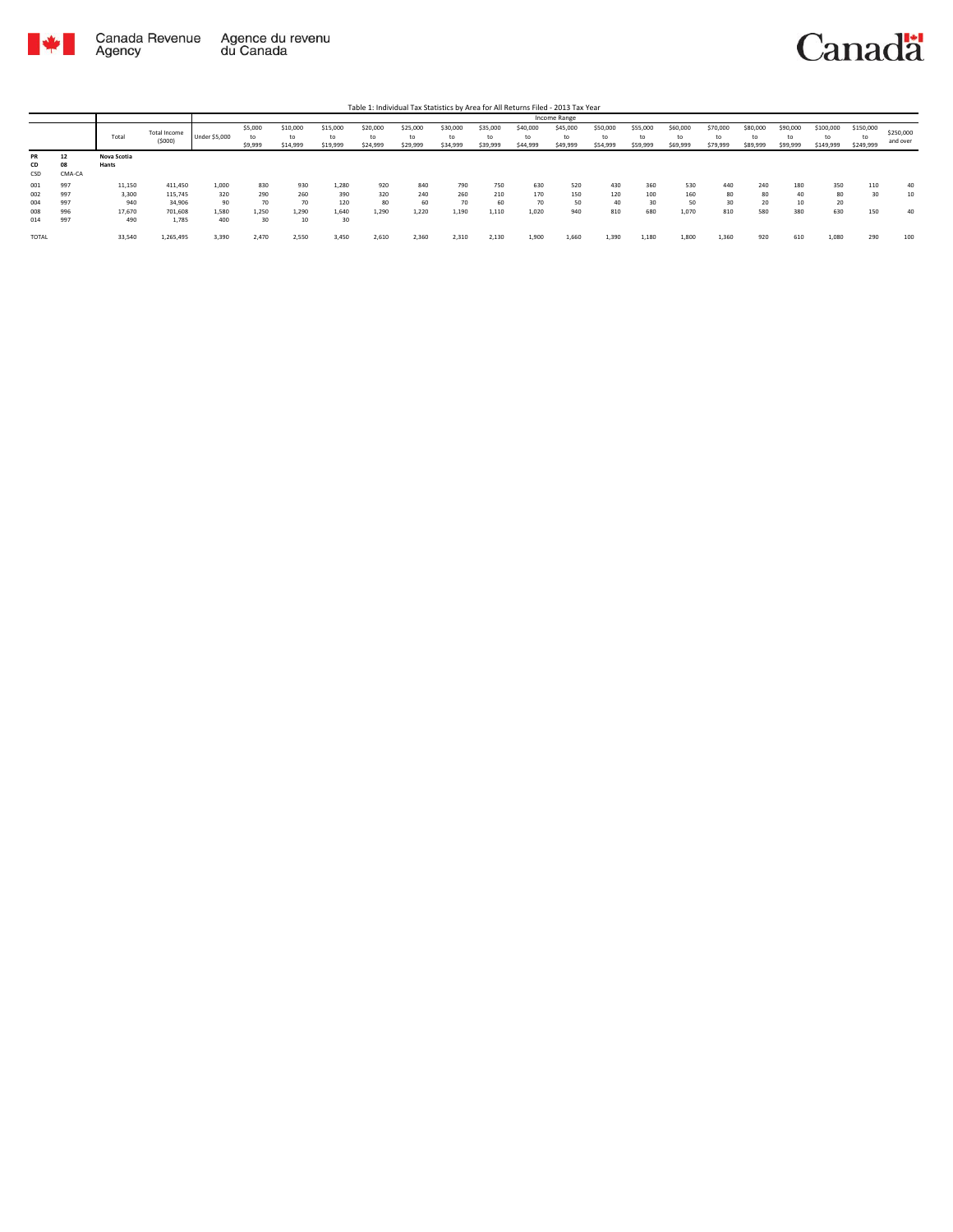

|       |        |             |                     |               |         |          |          |          |          |          |          |          | Income Range |          |          |          |          |          |          |           |           |           |
|-------|--------|-------------|---------------------|---------------|---------|----------|----------|----------|----------|----------|----------|----------|--------------|----------|----------|----------|----------|----------|----------|-----------|-----------|-----------|
|       |        |             | <b>Total Income</b> |               | \$5,000 | \$10,000 | \$15,000 | \$20,000 | \$25,000 | \$30,000 | \$35,000 | \$40,000 | \$45,000     | \$50,000 | \$55,000 | \$60,000 | \$70,000 | \$80,000 | \$90,000 | \$100,000 | \$150,000 | \$250,000 |
|       |        | Total       | (5000)              | Under \$5,000 | to      | to       | to       | to       | to       | to       | to       | to       | to           | to       | to       | to       | to       | to       | to       | to        | tc        | and over  |
|       |        |             |                     |               | \$9,999 | \$14,999 | \$19,999 | \$24,999 | \$29,999 | \$34,999 | \$39,999 | \$44,999 | \$49,999     | \$54,999 | \$59,999 | \$69,999 | \$79,999 | \$89,999 | \$99,999 | \$149,999 | \$249,999 |           |
| PR    | 12     | Nova Scotia |                     |               |         |          |          |          |          |          |          |          |              |          |          |          |          |          |          |           |           |           |
| CD    | 08     | Hants       |                     |               |         |          |          |          |          |          |          |          |              |          |          |          |          |          |          |           |           |           |
| CSD   | CMA-CA |             |                     |               |         |          |          |          |          |          |          |          |              |          |          |          |          |          |          |           |           |           |
| 001   | 997    | 11,150      | 411,450             | 1,000         | 830     | 930      | 1,280    | 920      | 840      | 790      | 750      | 630      | 520          | 430      | 360      | 530      | 440      | 240      | 180      | 350       | 110       | 40        |
| 002   | 997    | 3,300       | 115,745             | 320           | 290     | 260      | 390      | 320      | 240      | 260      | 210      | 170      | 150          | 120      | 100      | 160      | 80       | 80       | 40       | 80        | 30        | 10        |
| 004   | 997    | 940         | 34,906              | 90            | 70      | 70       | 120      | 80       | 60       | 70       | 60       | 70       | 50           | 40       | 30       | 50       | 30       | 20       | 10       | 20        |           |           |
| 008   | 996    | 17,670      | 701,608             | 1,580         | 1.250   | 1.290    | 1,640    | 1.290    | 1.220    | 1,190    | 1,110    | 1,020    | 940          | 810      | 680      | 1.070    | 810      | 580      | 380      | 630       | 150       | 40        |
| 014   | 997    | 490         | 1,785               | 400           | 30      | 10       | 30       |          |          |          |          |          |              |          |          |          |          |          |          |           |           |           |
|       |        |             |                     |               |         |          |          |          |          |          |          |          |              |          |          |          |          |          |          |           |           |           |
| TOTAL |        | 33,540      | 1,265,495           | 3,390         | 2,470   | 2,550    | 3,450    | 2,610    | 2,360    | 2,310    | 2,130    | 1,900    | 1,660        | 1,390    | 1,180    | 1,800    | 1,360    | 920      | 610      | 1,080     | 290       | 100       |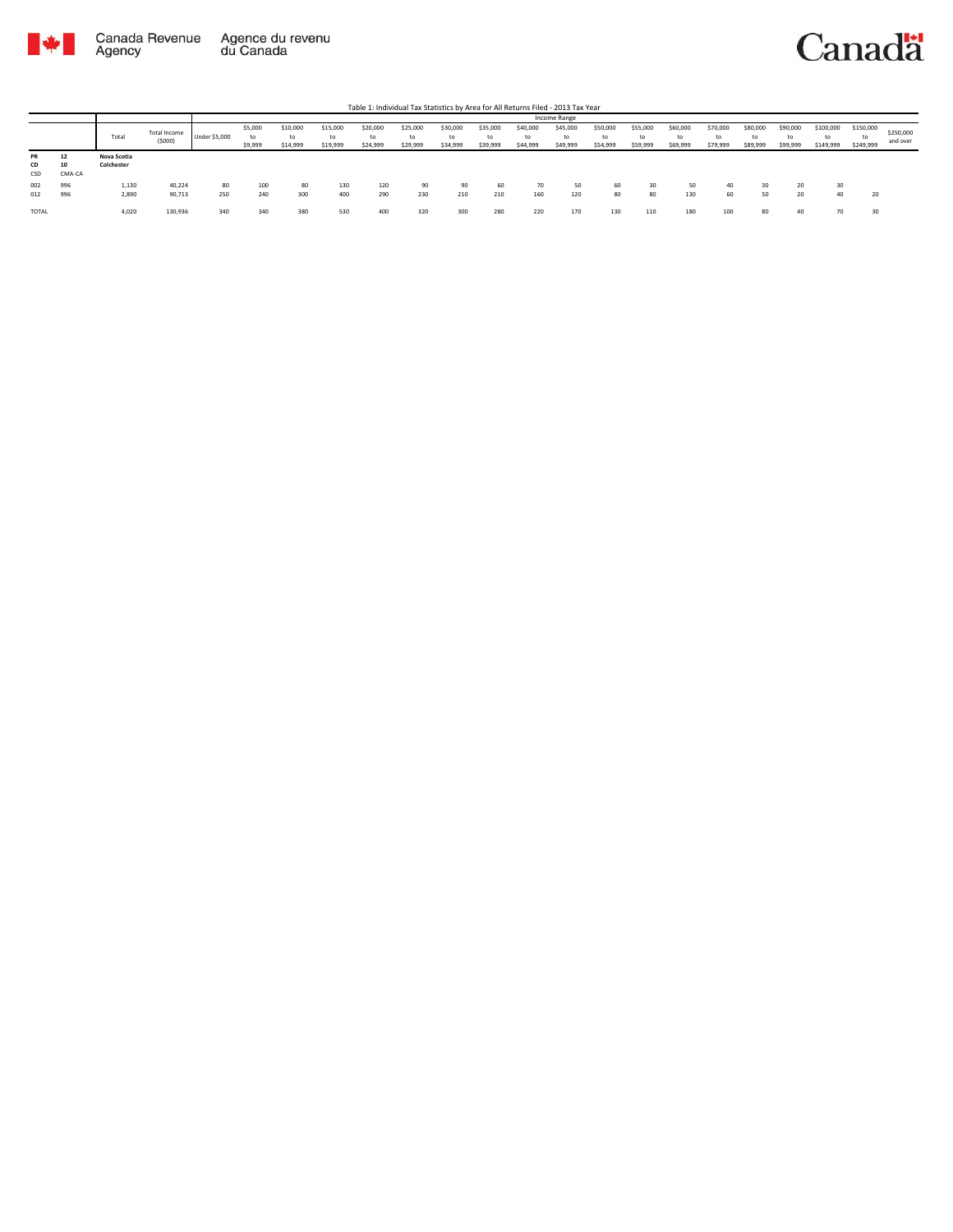

|                        |                    |                           |                        |               |                          |                      |                      |                            |                            |                            |                            |                            | Income Range               |                            |                            |                            |                            |                            |                            |                              |                              |                       |
|------------------------|--------------------|---------------------------|------------------------|---------------|--------------------------|----------------------|----------------------|----------------------------|----------------------------|----------------------------|----------------------------|----------------------------|----------------------------|----------------------------|----------------------------|----------------------------|----------------------------|----------------------------|----------------------------|------------------------------|------------------------------|-----------------------|
|                        |                    | Total                     | Total Income<br>(5000) | Under \$5,000 | \$5,000<br>to<br>\$9,999 | \$10,000<br>\$14,999 | \$15,000<br>\$19,999 | \$20,000<br>to<br>\$24,999 | \$25,000<br>to<br>\$29,999 | \$30,000<br>to<br>\$34,999 | \$35,000<br>to<br>\$39,999 | \$40,000<br>to<br>\$44,999 | \$45,000<br>to<br>\$49,999 | \$50,000<br>to<br>\$54,999 | \$55,000<br>to<br>\$59,999 | \$60,000<br>to<br>\$69,999 | \$70,000<br>to<br>\$79,999 | \$80,000<br>to<br>\$89,999 | \$90,000<br>to<br>\$99,999 | \$100,000<br>to<br>\$149,999 | \$150,000<br>to<br>\$249,999 | \$250,000<br>and over |
| <b>PR</b><br>CD<br>CSD | 12<br>10<br>CMA-CA | Nova Scotia<br>Colchester |                        |               |                          |                      |                      |                            |                            |                            |                            |                            |                            |                            |                            |                            |                            |                            |                            |                              |                              |                       |
| 002<br>012             | 996<br>996         | 1,130<br>2,890            | 40,224<br>90,713       | 80<br>250     | 100<br>240               | 80<br>300            | 130<br>400           | 120<br>290                 | 90<br>230                  | 90<br>210                  | 60<br>210                  | 70<br>160                  | 50<br>120                  | 60<br>80                   | 30<br>80                   | 50<br>130                  | 40<br>60                   | 30<br>50                   | 20<br>20                   | 30<br>40                     | 20                           |                       |
| TOTAL                  |                    | 4,020                     | 130,936                | 340           |                          | 380                  | 530                  | 400                        | 320                        | 300                        | 280                        | 220                        | 170                        | 130                        | 110                        | 180                        | 100                        | 80                         | 40                         |                              | 30                           |                       |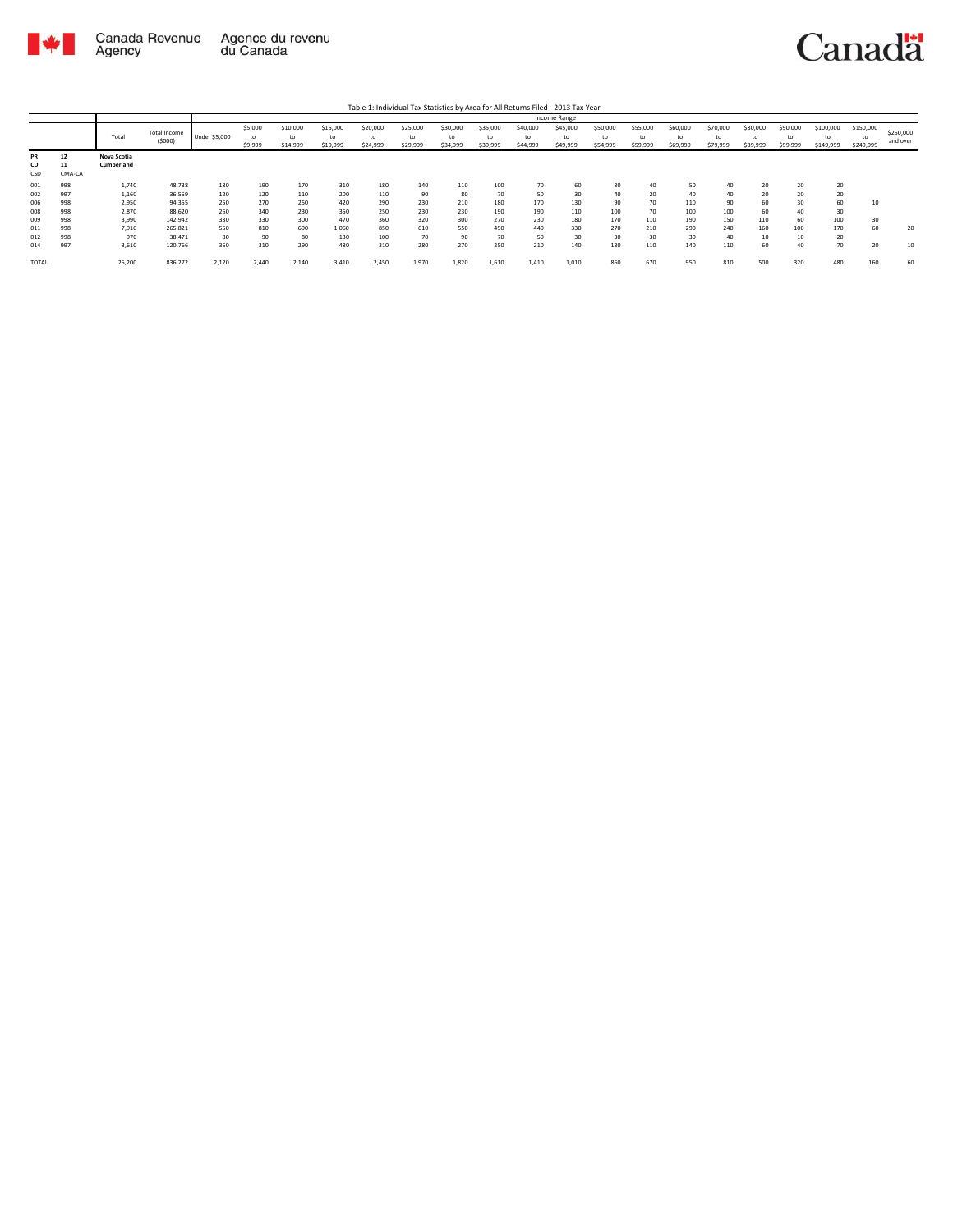

Table 1: Individual Tax Statistics by Area for All Returns Filed - 2013 Tax Year

|              |        |             |              |                      |         |          |          |          |          |          |          |          | Income Range |          |          |          |          |          |          |           |           |           |
|--------------|--------|-------------|--------------|----------------------|---------|----------|----------|----------|----------|----------|----------|----------|--------------|----------|----------|----------|----------|----------|----------|-----------|-----------|-----------|
|              |        |             | Total Income |                      | \$5,000 | \$10,000 | \$15,000 | \$20,000 | \$25,000 | \$30,000 | \$35,000 | \$40,000 | \$45,000     | \$50,000 | \$55,000 | \$60,000 | \$70,000 | \$80,000 | \$90,000 | \$100,000 | \$150,000 | \$250,000 |
|              |        | Total       |              | <b>Under \$5,000</b> | to      | to       | to       | t٥       | to       | tc       | to       | to       | to           | to       | to       | to       | to       | to       | to       |           | to        |           |
|              |        |             | (5000)       |                      | \$9,999 | \$14,999 | \$19,999 | \$24,999 | \$29,999 | \$34,999 | \$39,999 | \$44,999 | \$49,999     | \$54,999 | \$59,999 | \$69,999 | \$79,999 | \$89,999 | \$99,999 | \$149,999 | \$249,999 | and over  |
| PR           | 12     | Nova Scotia |              |                      |         |          |          |          |          |          |          |          |              |          |          |          |          |          |          |           |           |           |
| CD           | 11     | Cumberland  |              |                      |         |          |          |          |          |          |          |          |              |          |          |          |          |          |          |           |           |           |
| CSD          | CMA-CA |             |              |                      |         |          |          |          |          |          |          |          |              |          |          |          |          |          |          |           |           |           |
| 001          | 998    | 1,740       | 48,738       | 180                  | 190     | 170      | 310      | 180      | 140      | 110      | 100      | 70       | 60           | 30       | 40       | 50       | 40       | 20       | 20       | 20        |           |           |
| 002          | 997    | 1,160       | 36,559       | 120                  | 120     | 110      | 200      | 110      | 90       | 80       | 70       | 50       | 30           | 40       | 20       | 40       |          | 20       | 20       | 20        |           |           |
| 006          | 998    | 2,950       | 94,355       | 250                  | 270     | 250      | 420      | 290      | 230      | 210      | 180      | 170      | 130          | 90       | 70       | 110      | 90       | 60       | 30       | 60        | 10        |           |
| 008          | 998    | 2,870       | 88,620       | 260                  | 340     | 230      | 350      | 250      | 230      | 230      | 190      | 190      | 110          | 100      | 70       | 100      | 100      | 60       | 40       | 30        |           |           |
| 009          | 998    | 3,990       | 142,942      | 330                  | 330     | 300      | 470      | 360      | 320      | 300      | 270      | 230      | 180          | 170      | 110      | 190      | 150      | 110      | 60       | 100       | 30        |           |
| 011          | 998    | 7,910       | 265,821      | 550                  | 810     | 690      | 1,060    | 850      | 610      | 550      | 490      | 440      | 330          | 270      | 210      | 290      | 240      | 160      | 100      | 170       | 60        | 20        |
| 012          | 998    | 970         | 38,471       | 80                   | 90      | 80       | 130      | 100      | 70       | 90       | 70       | 50       | 30           | 30       | 30       | 30       | 40       | 10       | 10       | 20        |           |           |
| 014          | 997    | 3,610       | 120,766      | 360                  | 310     | 290      | 480      | 310      | 280      | 270      | 250      | 210      | 140          | 130      | 110      | 140      | 110      | 60       | 40       | 70        | 20        | 10        |
| <b>TOTAL</b> |        | 25,200      | 836,272      | 2,120                | 2.440   | 2,140    | 3,410    | 2,450    | 1,970    | 1,820    | 1,610    | 1,410    | 1,010        | 860      | 670      | 950      | 810      | 500      | 320      | 480       | 160       | 60        |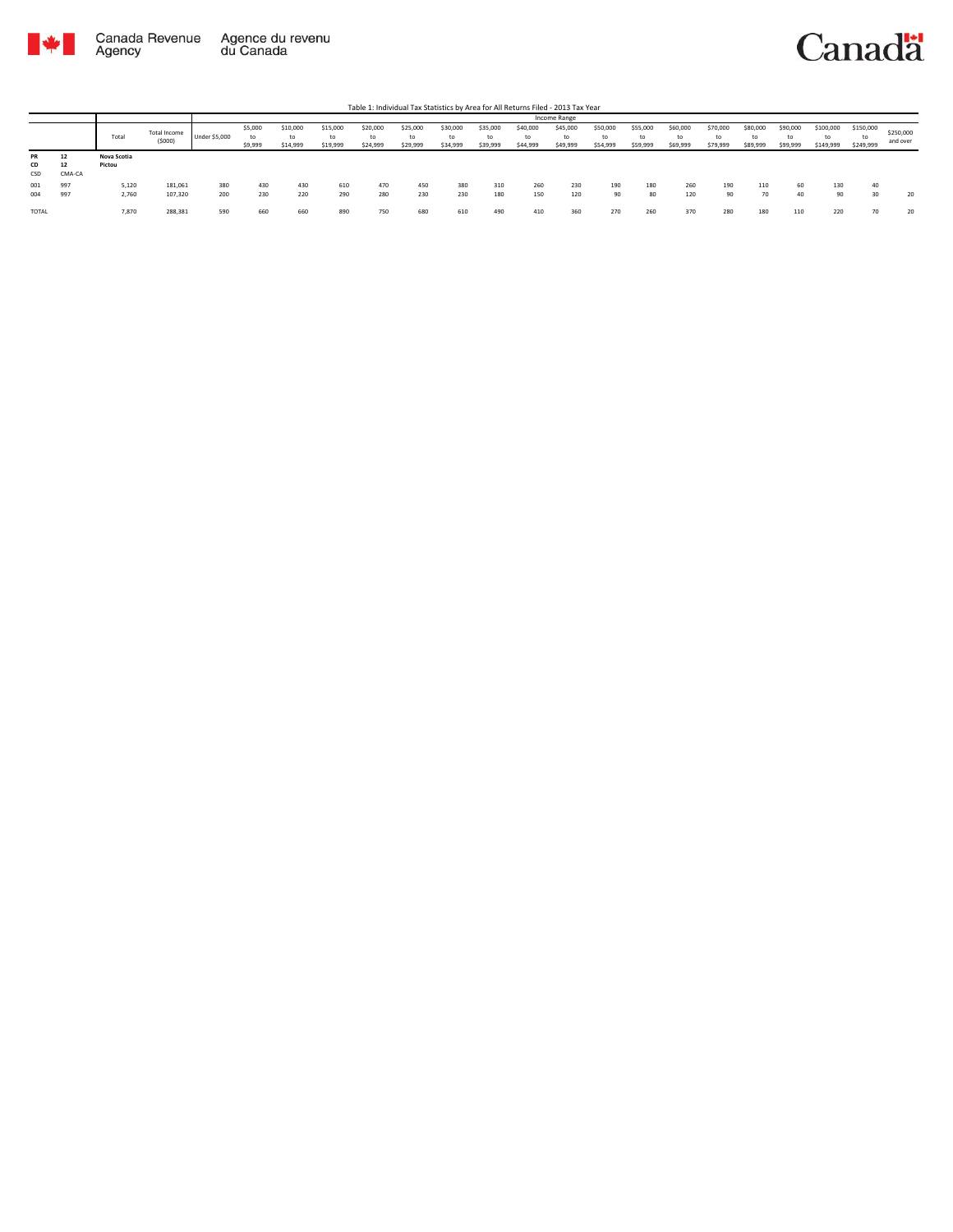

|                 |             |                       |                        |               |                          |                            |                            |                            |                            |                            |                            |                            | <b>Income Range</b>        |                            |                            |                            |                            |                            |                            |                              |                              |                       |
|-----------------|-------------|-----------------------|------------------------|---------------|--------------------------|----------------------------|----------------------------|----------------------------|----------------------------|----------------------------|----------------------------|----------------------------|----------------------------|----------------------------|----------------------------|----------------------------|----------------------------|----------------------------|----------------------------|------------------------------|------------------------------|-----------------------|
|                 |             | Total                 | Total Income<br>(5000) | Under \$5,000 | \$5,000<br>to<br>\$9,999 | \$10,000<br>to<br>\$14,999 | \$15,000<br>to<br>\$19,999 | \$20,000<br>to<br>\$24,999 | \$25,000<br>to<br>\$29,999 | \$30,000<br>to<br>\$34,999 | \$35,000<br>to<br>\$39,999 | \$40,000<br>to<br>\$44,999 | \$45,000<br>to<br>\$49,999 | \$50,000<br>to<br>\$54,999 | \$55,000<br>to<br>\$59,999 | \$60,000<br>to<br>\$69,999 | \$70,000<br>to<br>\$79,999 | \$80,000<br>to<br>\$89,999 | \$90,000<br>to<br>\$99,999 | \$100,000<br>to<br>\$149,999 | \$150,000<br>tc<br>\$249,999 | \$250,000<br>and over |
| PR<br>CD<br>CSD | -<br>CMA-CA | Nova Scotia<br>Pictou |                        |               |                          |                            |                            |                            |                            |                            |                            |                            |                            |                            |                            |                            |                            |                            |                            |                              |                              |                       |
| 001<br>004      | 997<br>997  | 5,120<br>2,760        | 181,061<br>107,320     | 380<br>200    | 430<br>230               | 430<br>220                 | 610<br>290                 | 470<br>280                 | 450<br>230                 | 380<br>230                 | 310<br>180                 | 260<br>150                 | 230<br>120                 | 190<br>90                  | 180<br>80                  | 260<br>120                 | 190<br>90                  | 110<br>70                  | 60<br>40                   | 130<br>90                    | 30                           | 20                    |
| <b>TOTAL</b>    |             | 7,870                 | 288,381                | 590           | 660                      | 660                        | 890                        | 750                        | 680                        | 610                        | 490                        | 410                        | 360                        | 270                        | 260                        | 370                        | 280                        | 180                        | 110                        | 220                          | 70                           | 20                    |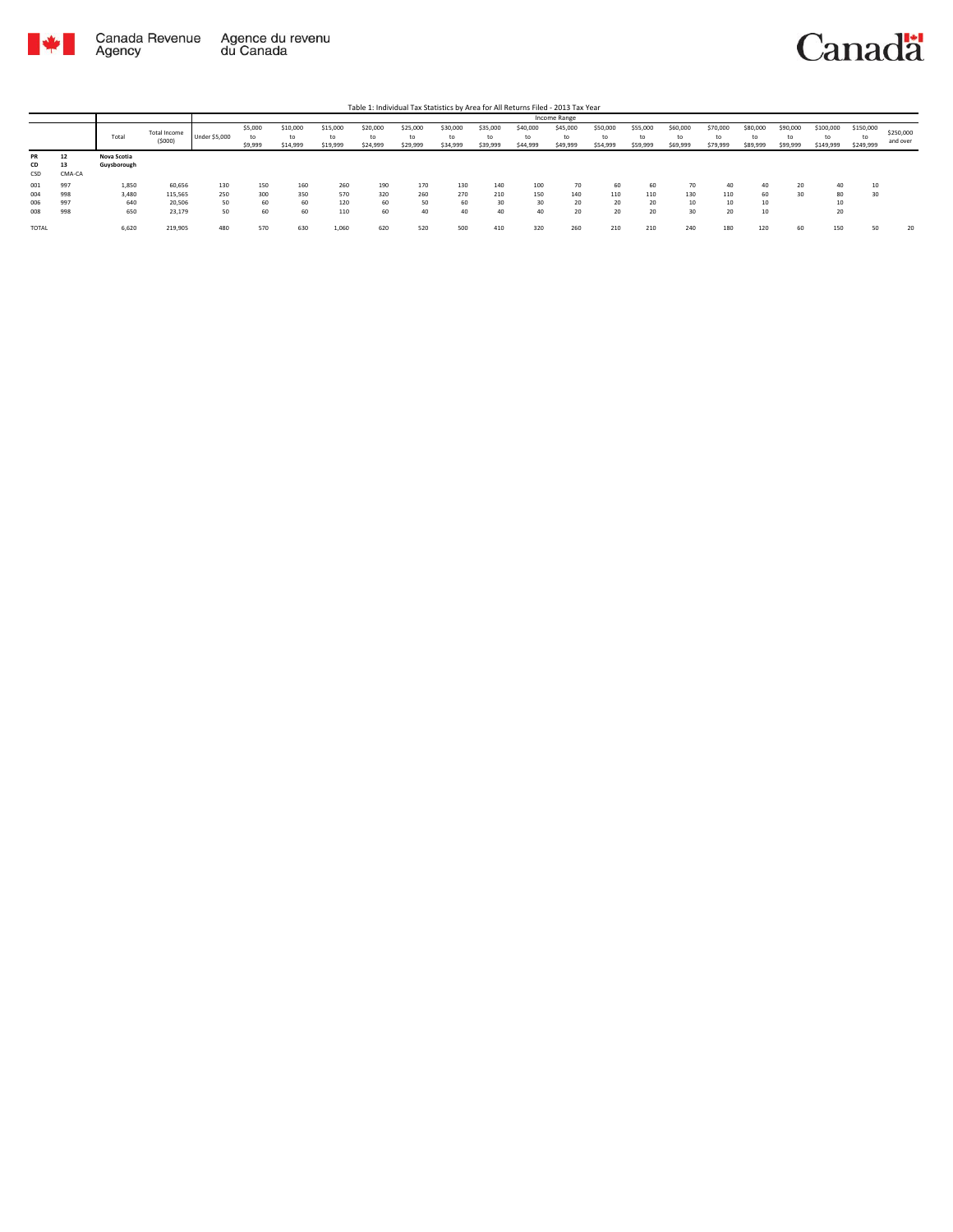

|                 |                    |                            |                        |               |                          |                            |                      |                            |                            |                            |                            |                            | Income Range               |                            |                            |                            |                            |                            |                            |                              |                              |                       |
|-----------------|--------------------|----------------------------|------------------------|---------------|--------------------------|----------------------------|----------------------|----------------------------|----------------------------|----------------------------|----------------------------|----------------------------|----------------------------|----------------------------|----------------------------|----------------------------|----------------------------|----------------------------|----------------------------|------------------------------|------------------------------|-----------------------|
|                 |                    | Total                      | Total Income<br>(5000) | Under \$5,000 | \$5,000<br>ta<br>\$9,999 | \$10,000<br>to<br>\$14,999 | \$15,000<br>\$19,999 | \$20,000<br>to<br>\$24,999 | \$25,000<br>to<br>\$29,999 | \$30,000<br>to<br>\$34,999 | \$35,000<br>to<br>\$39,999 | \$40,000<br>to<br>\$44,999 | \$45,000<br>to<br>\$49,999 | \$50,000<br>to<br>\$54,999 | \$55,000<br>to<br>\$59,999 | \$60,000<br>to<br>\$69,999 | \$70,000<br>to<br>\$79,999 | \$80,000<br>to<br>\$89,999 | \$90,000<br>to<br>\$99,999 | \$100,000<br>to<br>\$149,999 | \$150,000<br>tc<br>\$249,999 | \$250,000<br>and over |
| PR<br>CD<br>CSD | 12<br>13<br>CMA-CA | Nova Scotia<br>Guysborough |                        |               |                          |                            |                      |                            |                            |                            |                            |                            |                            |                            |                            |                            |                            |                            |                            |                              |                              |                       |
| 001             | 997                | 1,850                      | 60,656                 | 130           | 150                      | 160                        | 260                  | 190                        | 170                        | 130                        | 140                        | 100                        | 70                         | 60                         | 60                         | 70                         | 40                         | 40                         | 20                         | 40                           |                              |                       |
| 004             | 998                | 3,480                      | 115,565                | 250           | 300                      | 350                        | 570                  | 320                        | 260                        | 270                        | 210                        | 150                        | 140                        | 110                        | 110                        | 130                        | 110                        | 60                         | 30                         | 80                           |                              |                       |
| 006             | 997                | 640                        | 20,506                 | 50            | 60                       | 60                         | 120                  | 60                         | 50                         | 60                         | 30                         | 30                         | 20                         | 20                         | 20                         | 10                         | 10                         | 10                         |                            | 10                           |                              |                       |
| 008             | 998                | 650                        | 23,179                 | 50            | 60                       | 60                         | 110                  | 60                         | 40                         | 40                         | 40                         | 40                         | 20                         | 20                         | 20                         | 30                         | 20                         | 10                         |                            | 20                           |                              |                       |
| TOTAL           |                    | 6,620                      | 219,905                | 480           | 570                      | 630                        | 1,060                | 620                        | 520                        | 500                        | 410                        | 320                        | 260                        | 210                        | 210                        | 240                        | 180                        | 120                        | 60                         | 150                          | 50 <sup>2</sup>              | 20                    |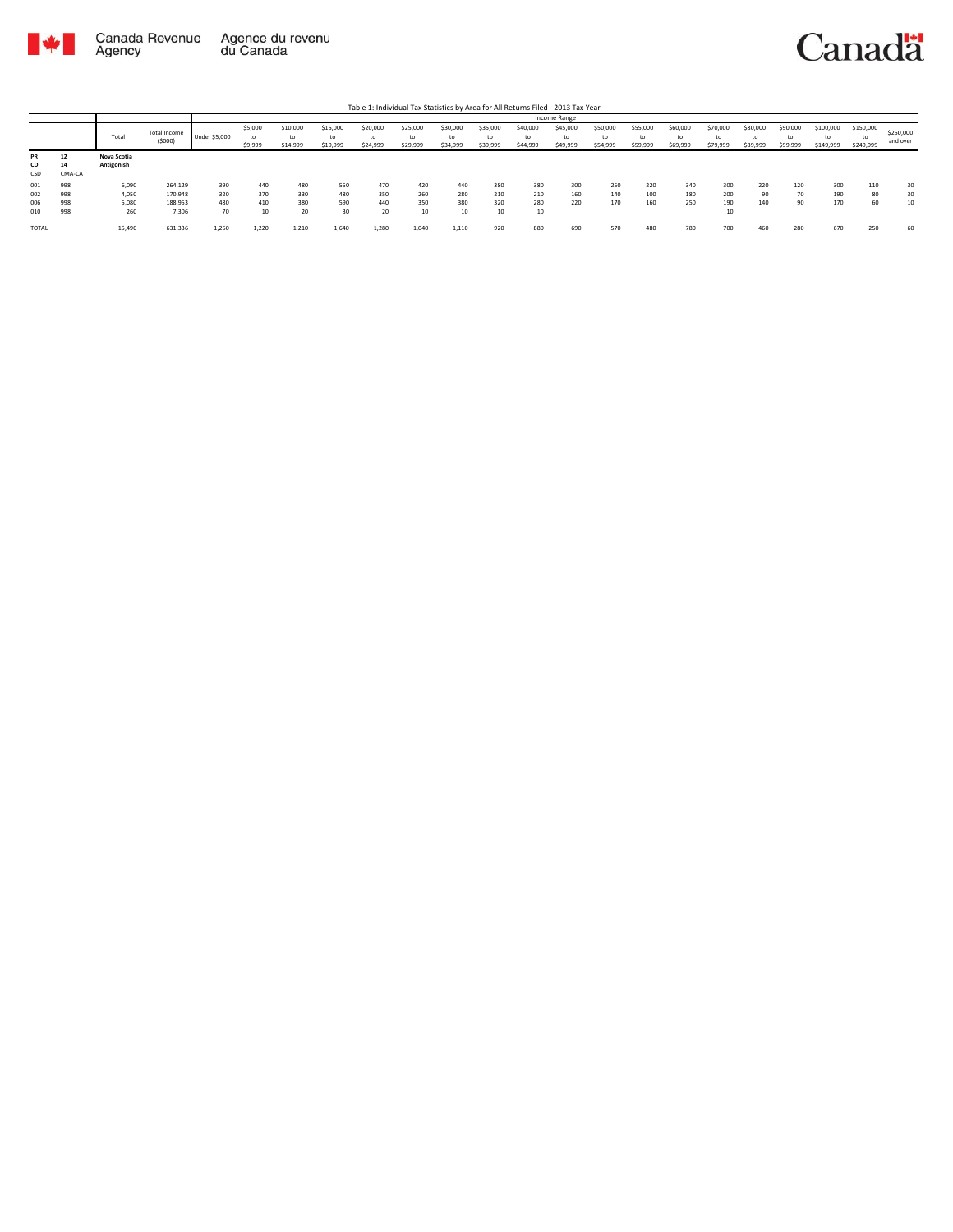

Table 1: Individual Tax Statistics by Area for All Returns Filed - 2013 Tax Year

|                        |                    |                           |                        |                      |                          |                            |                            |                            |                            |                            |                            |                            | Income Range               |                            |                            |                            |                            |                            |                            |                              |                              |                       |
|------------------------|--------------------|---------------------------|------------------------|----------------------|--------------------------|----------------------------|----------------------------|----------------------------|----------------------------|----------------------------|----------------------------|----------------------------|----------------------------|----------------------------|----------------------------|----------------------------|----------------------------|----------------------------|----------------------------|------------------------------|------------------------------|-----------------------|
|                        |                    | Total                     | Total Income<br>(5000) | <b>Under \$5,000</b> | \$5,000<br>to<br>\$9,999 | \$10,000<br>to<br>\$14,999 | \$15,000<br>to<br>\$19,999 | \$20,000<br>to<br>\$24,999 | \$25,000<br>to<br>\$29,999 | \$30,000<br>to<br>\$34,999 | \$35,000<br>to<br>\$39,999 | \$40,000<br>to<br>\$44,999 | \$45,000<br>to<br>\$49,999 | \$50,000<br>to<br>\$54,999 | \$55,000<br>to<br>\$59,999 | \$60,000<br>to<br>\$69,999 | \$70,000<br>to<br>\$79,999 | \$80,000<br>to<br>\$89,999 | \$90,000<br>to<br>\$99,999 | \$100,000<br>to<br>\$149,999 | \$150,000<br>to<br>\$249,999 | \$250,000<br>and over |
| <b>PR</b><br>CD<br>CSD | 12<br>14<br>CMA-CA | Nova Scotia<br>Antigonish |                        |                      |                          |                            |                            |                            |                            |                            |                            |                            |                            |                            |                            |                            |                            |                            |                            |                              |                              |                       |
| 001                    | 998                | 6,090                     | 264,129                | 390                  | 440                      | 480                        | 550                        | 470                        | 420                        | 440                        | 380                        | 380                        | 300                        | 250                        | 220                        | 340                        | 300                        | 220                        | 120                        | 300                          | 110                          | 30                    |
| 002                    | 998                | 4,050                     | 170,948                | 320                  | 370                      | 330                        | 480                        | 350                        | 260                        | 280                        | 210                        | 210                        | 160                        | 140                        | 100                        | 180                        | 200                        | 90                         | 70                         | 190                          | 80                           | 30                    |
| 006                    | 998                | 5,080                     | 188,953                | 480                  | 410                      | 380                        | 590                        | 440                        | 350                        | 380                        | 320                        | 280                        | 220                        | 170                        | 160                        | 250                        | 190                        | 140                        | 90                         | 170                          | 60                           | 10                    |
| 010                    | 998                | 260                       | 7,306                  | 70                   | 10                       | 20                         | 30                         | 20                         | 10                         | 10                         | 10                         | 10                         |                            |                            |                            |                            | 10                         |                            |                            |                              |                              |                       |
| TOTAL                  |                    | 15,490                    | 631,336                | 1,260                | 1,220                    | 1,210                      | 1,640                      | 1,280                      | 1,040                      | 1,110                      | 920                        | 880                        | 690                        | 570                        | 480                        | 780                        | 700                        | 460                        | 280                        | 670                          | 250                          | 60                    |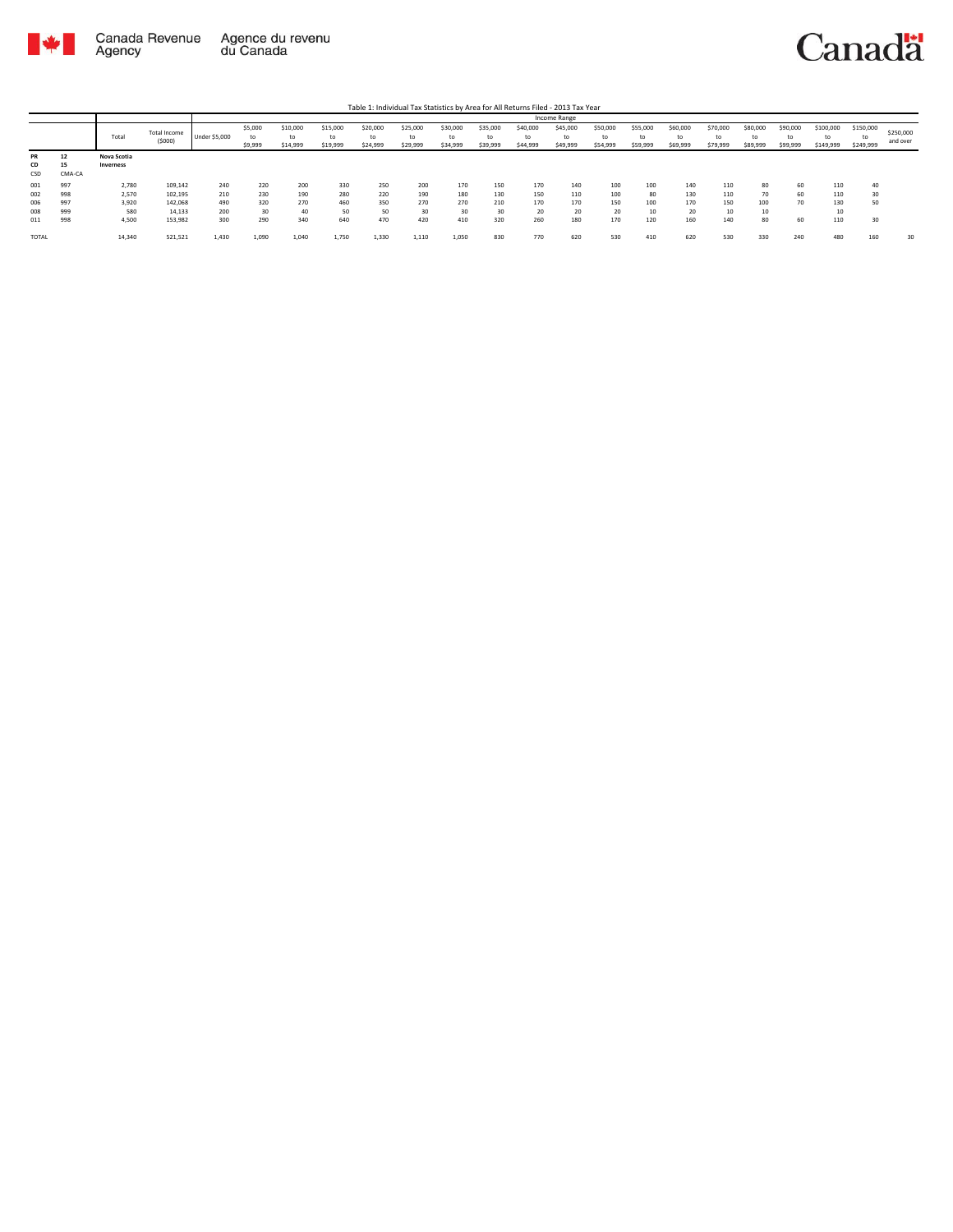

Table 1: Individual Tax Statistics by Area for All Returns Filed - 2013 Tax Year

|           |        |             |              |               |         |          |          |          |          |          |          |          | Income Range |          |          |          |          |          |          |           |           |           |
|-----------|--------|-------------|--------------|---------------|---------|----------|----------|----------|----------|----------|----------|----------|--------------|----------|----------|----------|----------|----------|----------|-----------|-----------|-----------|
|           |        |             | Total Income |               | \$5,000 | \$10,000 | \$15,000 | \$20,000 | \$25,000 | \$30,000 | \$35,000 | \$40,000 | \$45,000     | \$50,000 | \$55,000 | \$60,000 | \$70,000 | \$80,000 | \$90,000 | \$100,000 | \$150,000 | \$250,000 |
|           |        | Total       | (5000)       | Under \$5,000 | to      | to       | to       | t٥       | to       | to       | to       | to       | to           | to       |          | to       | to       | to       | to       | t٥        | to        | and over  |
|           |        |             |              |               | \$9,999 | \$14,999 | \$19,999 | \$24,999 | \$29,999 | \$34,999 | \$39,999 | \$44,999 | \$49,999     | \$54,999 | \$59,999 | \$69,999 | \$79,999 | \$89,999 | \$99,999 | \$149,999 | \$249,999 |           |
| <b>PR</b> | 12     | Nova Scotia |              |               |         |          |          |          |          |          |          |          |              |          |          |          |          |          |          |           |           |           |
| CD        | 15     | Inverness   |              |               |         |          |          |          |          |          |          |          |              |          |          |          |          |          |          |           |           |           |
| CSD       | CMA-CA |             |              |               |         |          |          |          |          |          |          |          |              |          |          |          |          |          |          |           |           |           |
| 001       | 997    | 2,780       | 109,142      | 240           | 220     | 200      | 330      | 250      | 200      | 170      | 150      | 170      | 140          | 100      | 100      | 140      | 110      | 80       | 60       | 110       |           |           |
| 002       | 998    | 2,570       | 102,195      | 210           | 230     | 190      | 280      | 220      | 190      | 180      | 130      | 150      | 110          | 100      | 80       | 130      | 110      | 70       | 60       | 110       | 20        |           |
| 006       | 997    | 3,920       | 142,068      | 490           | 320     | 270      | 460      | 350      | 270      | 270      | 210      | 170      | 170          | 150      | 100      | 170      | 150      | 100      | 70       | 130       | 50        |           |
| 008       | 999    | 580         | 14,133       | 200           | 30      | 40       | 50       | 50       | 30       | 30       | 30       | 20       | 20           | 20       | 10       | 20       | 10       | 10       |          | 10        |           |           |
| 011       | 998    | 4,500       | 153,982      | 300           | 290     | 340      | 640      | 470      | 420      | 410      | 320      | 260      | 180          | 170      | 120      | 160      | 140      | 80       | 60       | 110       | 30        |           |
| TOTAL     |        | 14,340      | 521,521      | 1,430         | 1,090   | 1,040    | 1,750    | 1,330    | 1,110    | 1,050    | 830      | 770      | 620          | 530      | 410      | 620      | 530      | 330      | 240      | 480       | 160       | 30        |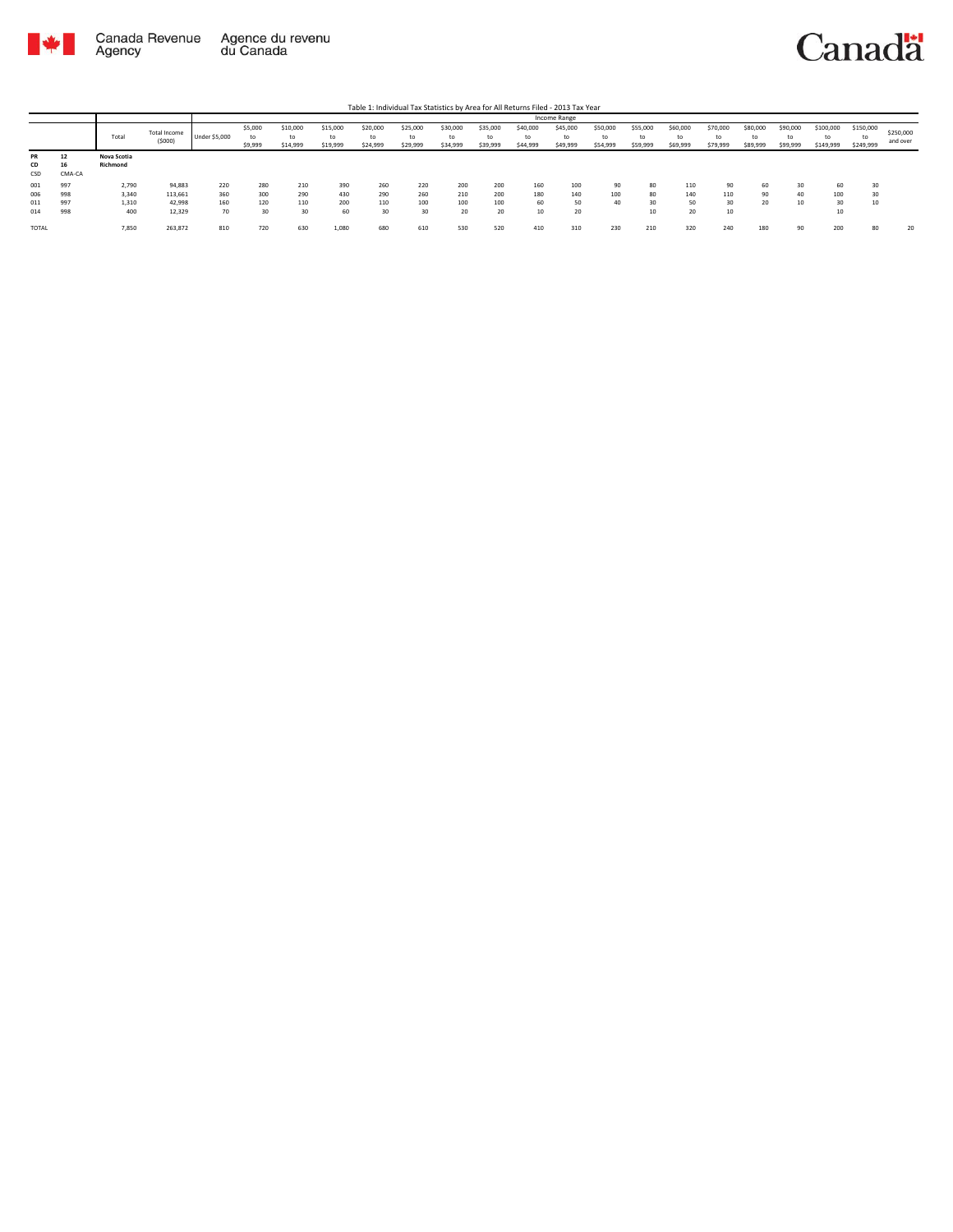

|                 |              |                         |                        |               |                    |                            |                      |                            |                            |                            |                            |                            | Income Range               |                            |                            |                            |                            |                            |                            |                              |                              |                       |
|-----------------|--------------|-------------------------|------------------------|---------------|--------------------|----------------------------|----------------------|----------------------------|----------------------------|----------------------------|----------------------------|----------------------------|----------------------------|----------------------------|----------------------------|----------------------------|----------------------------|----------------------------|----------------------------|------------------------------|------------------------------|-----------------------|
|                 |              | Total                   | Total Income<br>(5000) | Under \$5,000 | \$5,000<br>\$9,999 | \$10,000<br>to<br>\$14,999 | \$15,000<br>\$19,999 | \$20,000<br>to<br>\$24,999 | \$25,000<br>to<br>\$29,999 | \$30,000<br>to<br>\$34,999 | \$35,000<br>to<br>\$39,999 | \$40,000<br>to<br>\$44,999 | \$45,000<br>to<br>\$49,999 | \$50,000<br>to<br>\$54,999 | \$55,000<br>to<br>\$59,999 | \$60,000<br>to<br>\$69,999 | \$70,000<br>to<br>\$79,999 | \$80,000<br>to<br>\$89,999 | \$90,000<br>to<br>\$99,999 | \$100,000<br>to<br>\$149,999 | \$150,000<br>tc<br>\$249,999 | \$250,000<br>and over |
| PR<br>CD<br>CSD | 12<br>CMA-CA | Nova Scotia<br>Richmond |                        |               |                    |                            |                      |                            |                            |                            |                            |                            |                            |                            |                            |                            |                            |                            |                            |                              |                              |                       |
| 001<br>006      | 997<br>998   | 2,790<br>3,340          | 94,883<br>113,661      | 220<br>360    | 280<br>300         | 210<br>290                 | 390<br>430           | 260<br>290                 | 220<br>260                 | 200<br>210                 | 200<br>200                 | 160<br>180                 | 100<br>140                 | 90<br>100                  | 80<br>80                   | 110<br>140                 | 90<br>110                  | 60<br>90                   | 30<br>40                   | 60<br>100                    |                              |                       |
| 011<br>014      | 997<br>998   | 1,310<br>400            | 42,998<br>12,329       | 160<br>70     | 120<br>30          | 110<br>30                  | 200<br>60            | 110<br>30                  | 100<br>30                  | 100<br>20                  | 100<br>20                  | 60<br>10                   | 50<br>20                   | 40                         | 30<br>10                   | 50<br>20                   | 30<br>10                   | 20                         | 10                         | 30<br>10                     |                              |                       |
| TOTAL           |              | 7,850                   | 263,872                | 810           | 720                | 630                        | 1,080                | 680                        | 610                        | 530                        | 520                        | 410                        | 310                        | 230                        | 210                        | 320                        | 240                        | 180                        | 90                         | 200                          | 80                           | 20                    |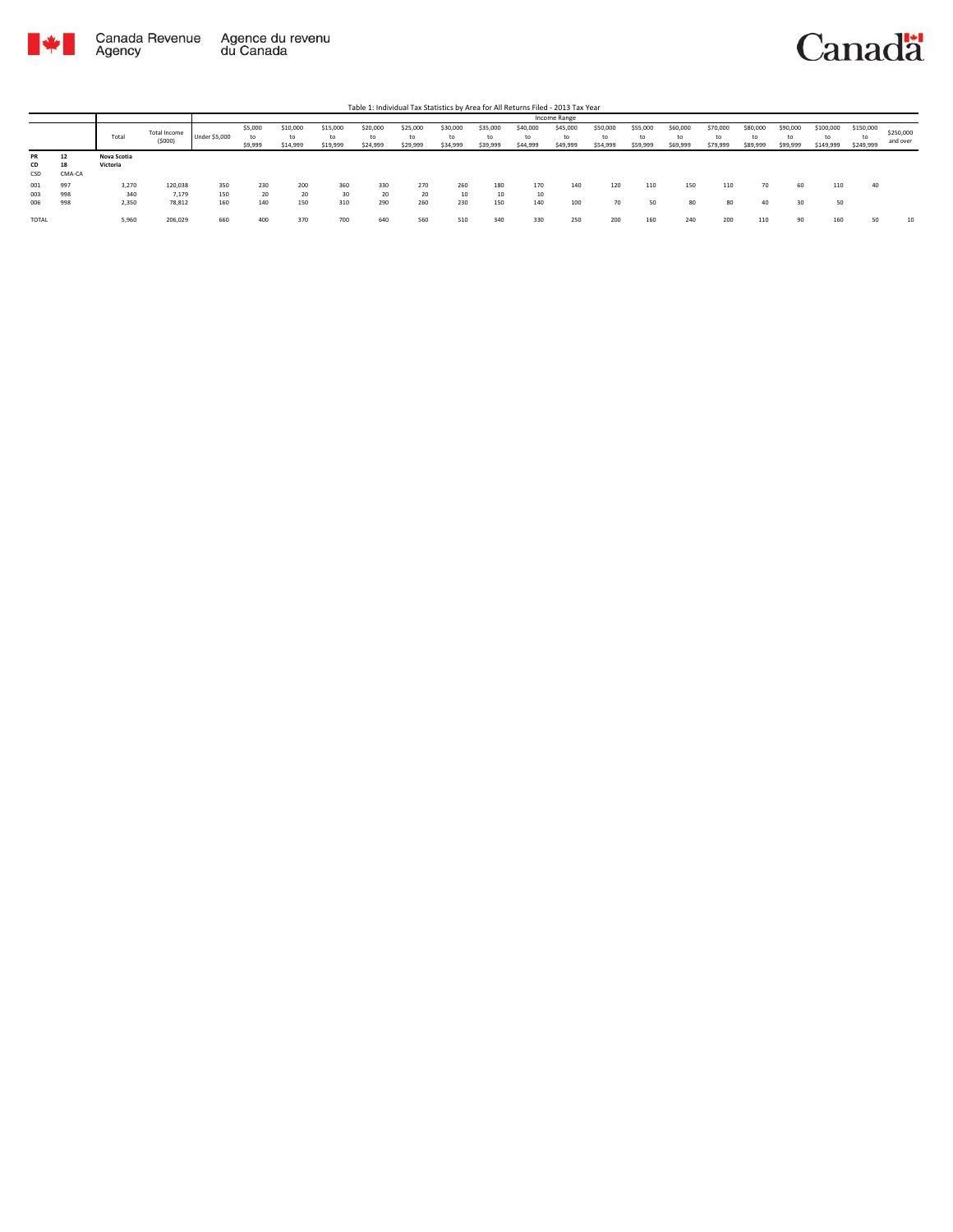

|                 |                    |                         |                        |                      |                          |                            |                            |                            |                            |                            |                            |                            | <b>Income Range</b>        |                            |                            |                            |                            |                            |                            |                              |                              |                       |
|-----------------|--------------------|-------------------------|------------------------|----------------------|--------------------------|----------------------------|----------------------------|----------------------------|----------------------------|----------------------------|----------------------------|----------------------------|----------------------------|----------------------------|----------------------------|----------------------------|----------------------------|----------------------------|----------------------------|------------------------------|------------------------------|-----------------------|
|                 |                    | Total                   | Total Income<br>(5000) | <b>Under \$5,000</b> | \$5,000<br>to<br>\$9,999 | \$10,000<br>to<br>\$14,999 | \$15,000<br>to<br>\$19,999 | \$20,000<br>to<br>\$24,999 | \$25,000<br>to<br>\$29,999 | \$30,000<br>to<br>\$34,999 | \$35,000<br>to<br>\$39,999 | \$40,000<br>to<br>\$44,999 | \$45,000<br>to<br>\$49,999 | \$50,000<br>to<br>\$54,999 | \$55,000<br>to<br>\$59,999 | \$60,000<br>to<br>\$69,999 | \$70,000<br>to<br>\$79,999 | \$80,000<br>to<br>\$89,999 | \$90,000<br>to<br>\$99,999 | \$100,000<br>to<br>\$149,999 | \$150,000<br>to<br>\$249,999 | \$250,000<br>and over |
| PR<br>CD<br>CSD | 12<br>18<br>CMA-CA | Nova Scotia<br>Victoria |                        |                      |                          |                            |                            |                            |                            |                            |                            |                            |                            |                            |                            |                            |                            |                            |                            |                              |                              |                       |
| 001             | 997                | 3,270                   | 120,038                | 350                  | 230                      | 200                        | 360                        | 330                        | 270                        | 260                        | 180                        | 170                        | 140                        | 120                        | 110                        | 150                        | 110                        | 70                         | 60                         | 110                          | 40                           |                       |
| 003             | 998                | 340                     | 7,179                  | 150                  | 20                       | 20                         | 30                         | 20                         | 20                         | 10                         | 10                         | 10                         |                            |                            |                            |                            |                            |                            |                            |                              |                              |                       |
| 006             | 998                | 2,350                   | 78,812                 | 160                  | 140                      | 150                        | 310                        | 290                        | 260                        | 230                        | 150                        | 140                        | 100                        | 70                         | 50                         | 80                         | 80                         | 40                         | 30                         | 50                           |                              |                       |
| TOTAL           |                    | 5,960                   | 206,029                | 660                  | 400                      | 370                        | 700                        | 640                        | 560                        | 510                        | 340                        | 330                        | 250                        |                            | 160                        | 240                        | 200                        | 110                        | 90                         | 160                          | 50                           | 10                    |